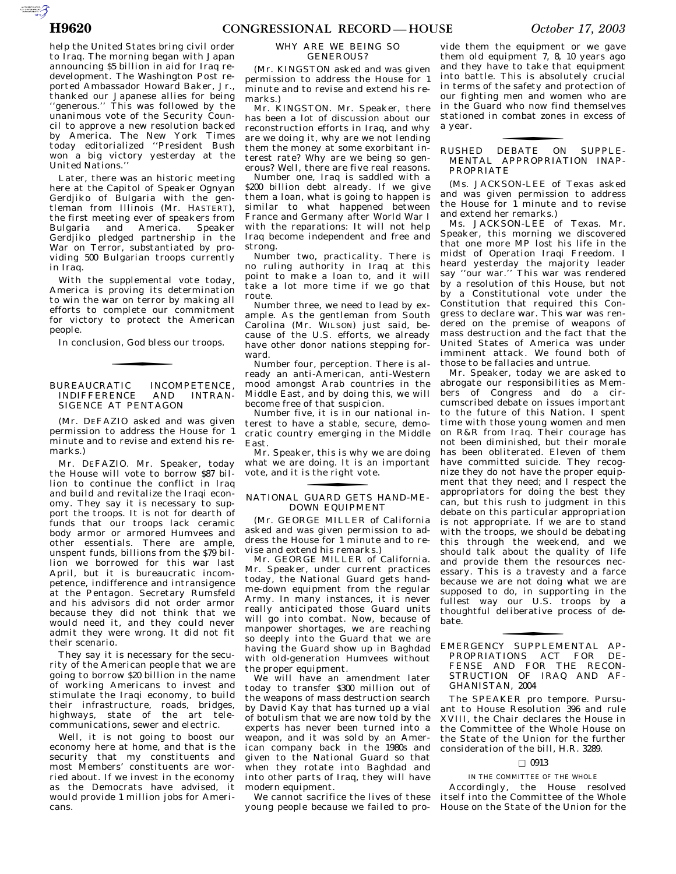AUTOROTOMICALE CONTINUES

help the United States bring civil order to Iraq. The morning began with Japan announcing \$5 billion in aid for Iraq redevelopment. The Washington Post reported Ambassador Howard Baker, Jr., thanked our Japanese allies for being 'generous.'' This was followed by the unanimous vote of the Security Council to approve a new resolution backed by America. The New York Times today editorialized ''President Bush won<sup>2</sup> a big victory yesterday at the United Nations.''

Later, there was an historic meeting here at the Capitol of Speaker Ognyan Gerdjiko of Bulgaria with the gentleman from Illinois (Mr. HASTERT), the first meeting ever of speakers from Bulgaria and America. Speaker Gerdjiko pledged partnership in the War on Terror, substantiated by providing 500 Bulgarian troops currently in Iraq.

With the supplemental vote today, America is proving its determination to win the war on terror by making all efforts to complete our commitment for victory to protect the American people.

In conclusion, God bless our troops.

## BUREAUCRATIC INCOMPETENCE,<br>INDIFFERENCE AND INTRAN-AND INTRAN-SIGENCE AT PENTAGON

(Mr. DEFAZIO asked and was given permission to address the House for 1 minute and to revise and extend his remarks.)

Mr. DEFAZIO. Mr. Speaker, today the House will vote to borrow \$87 billion to continue the conflict in Iraq and build and revitalize the Iraqi economy. They say it is necessary to support the troops. It is not for dearth of funds that our troops lack ceramic body armor or armored Humvees and other essentials. There are ample, unspent funds, billions from the \$79 billion we borrowed for this war last April, but it is bureaucratic incompetence, indifference and intransigence at the Pentagon. Secretary Rumsfeld and his advisors did not order armor because they did not think that we would need it, and they could never admit they were wrong. It did not fit their scenario.

They say it is necessary for the security of the American people that we are going to borrow \$20 billion in the name of working Americans to invest and stimulate the Iraqi economy, to build their infrastructure, roads, bridges, highways, state of the art telecommunications, sewer and electric.

Well, it is not going to boost our economy here at home, and that is the security that my constituents and most Members' constituents are worried about. If we invest in the economy as the Democrats have advised, it would provide 1 million jobs for Americans.

#### WHY ARE WE BEING SO GENEROUS?

(Mr. KINGSTON asked and was given permission to address the House for 1 minute and to revise and extend his remarks.)

Mr. KINGSTON. Mr. Speaker, there has been a lot of discussion about our reconstruction efforts in Iraq, and why are we doing it, why are we not lending them the money at some exorbitant interest rate? Why are we being so generous? Well, there are five real reasons.

Number one, Iraq is saddled with a \$200 billion debt already. If we give them a loan, what is going to happen is similar to what happened between France and Germany after World War I with the reparations: It will not help Iraq become independent and free and strong.

Number two, practicality. There is no ruling authority in Iraq at this point to make a loan to, and it will take a lot more time if we go that route.

Number three, we need to lead by example. As the gentleman from South Carolina (Mr. WILSON) just said, because of the U.S. efforts, we already have other donor nations stepping forward.

Number four, perception. There is already an anti-American, anti-Western mood amongst Arab countries in the Middle East, and by doing this, we will become free of that suspicion.

Number five, it is in our national interest to have a stable, secure, democratic country emerging in the Middle East.

Mr. Speaker, this is why we are doing what we are doing. It is an important vote, and it is the right vote.

# NATIONAL GUARD GETS HAND-ME-fDOWN EQUIPMENT

(Mr. GEORGE MILLER of California asked and was given permission to address the House for 1 minute and to revise and extend his remarks.)

Mr. GEORGE MILLER of California. Mr. Speaker, under current practices today, the National Guard gets handme-down equipment from the regular Army. In many instances, it is never really anticipated those Guard units will go into combat. Now, because of manpower shortages, we are reaching so deeply into the Guard that we are having the Guard show up in Baghdad with old-generation Humvees without the proper equipment.

We will have an amendment later today to transfer \$300 million out of the weapons of mass destruction search by David Kay that has turned up a vial of botulism that we are now told by the experts has never been turned into a weapon, and it was sold by an American company back in the 1980s and given to the National Guard so that when they rotate into Baghdad and into other parts of Iraq, they will have modern equipment.

We cannot sacrifice the lives of these young people because we failed to pro-

vide them the equipment or we gave them old equipment 7, 8, 10 years ago and they have to take that equipment into battle. This is absolutely crucial in terms of the safety and protection of our fighting men and women who are in the Guard who now find themselves stationed in combat zones in excess of a year.

# RUSHED DEBATE ON SUPPLE-fMENTAL APPROPRIATION INAP-PROPRIATE

(Ms. JACKSON-LEE of Texas asked and was given permission to address the House for 1 minute and to revise and extend her remarks.)

Ms. JACKSON-LEE of Texas. Mr. Speaker, this morning we discovered that one more MP lost his life in the midst of Operation Iraqi Freedom. I heard yesterday the majority leader say ''our war.'' This war was rendered by a resolution of this House, but not by a Constitutional vote under the Constitution that required this Congress to declare war. This war was rendered on the premise of weapons of mass destruction and the fact that the United States of America was under imminent attack. We found both of those to be fallacies and untrue.

Mr. Speaker, today we are asked to abrogate our responsibilities as Members of Congress and do a circumscribed debate on issues important to the future of this Nation. I spent time with those young women and men on R&R from Iraq. Their courage has not been diminished, but their morale has been obliterated. Eleven of them have committed suicide. They recognize they do not have the proper equipment that they need; and I respect the appropriators for doing the best they can, but this rush to judgment in this debate on this particular appropriation is not appropriate. If we are to stand with the troops, we should be debating this through the weekend, and we should talk about the quality of life and provide them the resources necessary. This is a travesty and a farce because we are not doing what we are supposed to do, in supporting in the fullest way our U.S. troops by a thoughtful deliberative process of debate.

The SPEAKER pro tempore. Pursuant to House Resolution 396 and rule XVIII, the Chair declares the House in the Committee of the Whole House on the State of the Union for the further consideration of the bill, H.R. 3289.

## $\Box$  0913

IN THE COMMITTEE OF THE WHOLE

Accordingly, the House resolved itself into the Committee of the Whole House on the State of the Union for the

EMERGENCY SUPPLEMENTAL AP-fPROPRIATIONS ACT FOR DE-FENSE AND FOR THE RECON-STRUCTION OF IRAQ AND AF-GHANISTAN, 2004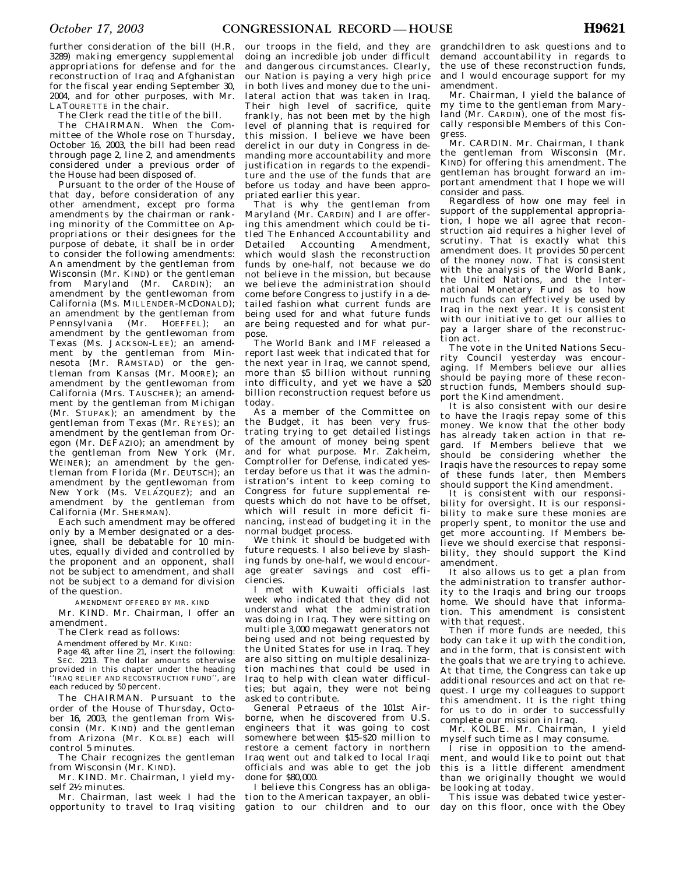further consideration of the bill (H.R. 3289) making emergency supplemental appropriations for defense and for the reconstruction of Iraq and Afghanistan for the fiscal year ending September 30, 2004, and for other purposes, with Mr. LATOURETTE in the chair.

The Clerk read the title of the bill.

The CHAIRMAN. When the Committee of the Whole rose on Thursday, October 16, 2003, the bill had been read through page 2, line 2, and amendments considered under a previous order of the House had been disposed of.

Pursuant to the order of the House of that day, before consideration of any other amendment, except pro forma amendments by the chairman or ranking minority of the Committee on Appropriations or their designees for the purpose of debate, it shall be in order to consider the following amendments: An amendment by the gentleman from Wisconsin (Mr. KIND) or the gentleman from Maryland (Mr. CARDIN); an amendment by the gentlewoman from California (Ms. MILLENDER-MCDONALD); an amendment by the gentleman from Pennsylvania (Mr. HOEFFEL); an amendment by the gentlewoman from Texas (Ms. JACKSON-LEE); an amendment by the gentleman from Minnesota (Mr. RAMSTAD) or the gentleman from Kansas (Mr. MOORE); an amendment by the gentlewoman from California (Mrs. TAUSCHER); an amendment by the gentleman from Michigan (Mr. STUPAK); an amendment by the gentleman from Texas (Mr. REYES); an amendment by the gentleman from Oregon (Mr. DEFAZIO); an amendment by the gentleman from New York (Mr. WEINER); an amendment by the gentleman from Florida (Mr. DEUTSCH); an amendment by the gentlewoman from New York (Ms. VELÁZQUEZ); and an amendment by the gentleman from California (Mr. SHERMAN).

Each such amendment may be offered only by a Member designated or a designee, shall be debatable for 10 minutes, equally divided and controlled by the proponent and an opponent, shall not be subject to amendment, and shall not be subject to a demand for division of the question.

AMENDMENT OFFERED BY MR. KIND

Mr. KIND. Mr. Chairman, I offer an amendment.

The Clerk read as follows:

Amendment offered by Mr. KIND:

Page 48, after line 21, insert the following: SEC. 2213. The dollar amounts otherwise provided in this chapter under the heading 'IRAQ RELIEF AND RECONSTRUCTION FUND'', are each reduced by 50 percent.

The CHAIRMAN. Pursuant to the order of the House of Thursday, October 16, 2003, the gentleman from Wisconsin (Mr. KIND) and the gentleman from Arizona (Mr. KOLBE) each will control 5 minutes.

The Chair recognizes the gentleman from Wisconsin (Mr. KIND).

Mr. KIND. Mr. Chairman, I yield myself 21⁄2 minutes.

Mr. Chairman, last week I had the opportunity to travel to Iraq visiting

our troops in the field, and they are doing an incredible job under difficult and dangerous circumstances. Clearly, our Nation is paying a very high price in both lives and money due to the unilateral action that was taken in Iraq. Their high level of sacrifice, quite frankly, has not been met by the high level of planning that is required for this mission. I believe we have been derelict in our duty in Congress in demanding more accountability and more justification in regards to the expenditure and the use of the funds that are before us today and have been appropriated earlier this year.

That is why the gentleman from Maryland (Mr. CARDIN) and I are offering this amendment which could be titled The Enhanced Accountability and Detailed Accounting Amendment, which would slash the reconstruction funds by one-half, not because we do not believe in the mission, but because we believe the administration should come before Congress to justify in a detailed fashion what current funds are being used for and what future funds are being requested and for what purpose.

The World Bank and IMF released a report last week that indicated that for the next year in Iraq, we cannot spend, more than \$5 billion without running into difficulty, and yet we have a  $$20$ billion reconstruction request before us today.

As a member of the Committee on the Budget, it has been very frustrating trying to get detailed listings of the amount of money being spent and for what purpose. Mr. Zakheim, Comptroller for Defense, indicated yesterday before us that it was the administration's intent to keep coming to Congress for future supplemental requests which do not have to be offset, which will result in more deficit financing, instead of budgeting it in the normal budget process.

We think it should be budgeted with future requests. I also believe by slashing funds by one-half, we would encourage greater savings and cost efficiencies.

I met with Kuwaiti officials last week who indicated that they did not understand what the administration was doing in Iraq. They were sitting on multiple 3,000 megawatt generators not being used and not being requested by the United States for use in Iraq. They are also sitting on multiple desalinization machines that could be used in Iraq to help with clean water difficulties; but again, they were not being asked to contribute.

General Petraeus of the 101st Airborne, when he discovered from U.S. engineers that it was going to cost somewhere between \$15–\$20 million to restore a cement factory in northern Iraq went out and talked to local Iraqi officials and was able to get the job done for \$80,000.

I believe this Congress has an obligation to the American taxpayer, an obligation to our children and to our

grandchildren to ask questions and to demand accountability in regards to the use of these reconstruction funds, and I would encourage support for my amendment.

Mr. Chairman, I yield the balance of my time to the gentleman from Maryland (Mr. CARDIN), one of the most fiscally responsible Members of this Congress.

Mr. CARDIN. Mr. Chairman, I thank the gentleman from Wisconsin (Mr. KIND) for offering this amendment. The gentleman has brought forward an important amendment that I hope we will consider and pass.

Regardless of how one may feel in support of the supplemental appropriation, I hope we all agree that reconstruction aid requires a higher level of scrutiny. That is exactly what this amendment does. It provides 50 percent of the money now. That is consistent with the analysis of the World Bank, the United Nations, and the International Monetary Fund as to how much funds can effectively be used by Iraq in the next year. It is consistent with our initiative to get our allies to pay a larger share of the reconstruction act.

The vote in the United Nations Security Council yesterday was encouraging. If Members believe our allies should be paying more of these reconstruction funds, Members should support the Kind amendment.

It is also consistent with our desire to have the Iraqis repay some of this money. We know that the other body has already taken action in that regard. If Members believe that we should be considering whether the Iraqis have the resources to repay some of these funds later, then Members should support the Kind amendment.

It is consistent with our responsibility for oversight. It is our responsibility to make sure these monies are properly spent, to monitor the use and get more accounting. If Members believe we should exercise that responsibility, they should support the Kind amendment.

It also allows us to get a plan from the administration to transfer authority to the Iraqis and bring our troops home. We should have that information. This amendment is consistent with that request.

Then if more funds are needed, this body can take it up with the condition, and in the form, that is consistent with the goals that we are trying to achieve. At that time, the Congress can take up additional resources and act on that request. I urge my colleagues to support this amendment. It is the right thing for us to do in order to successfully complete our mission in Iraq.

Mr. KOLBE. Mr. Chairman, I yield myself such time as I may consume.

I rise in opposition to the amendment, and would like to point out that this is a little different amendment than we originally thought we would be looking at today.

This issue was debated twice yesterday on this floor, once with the Obey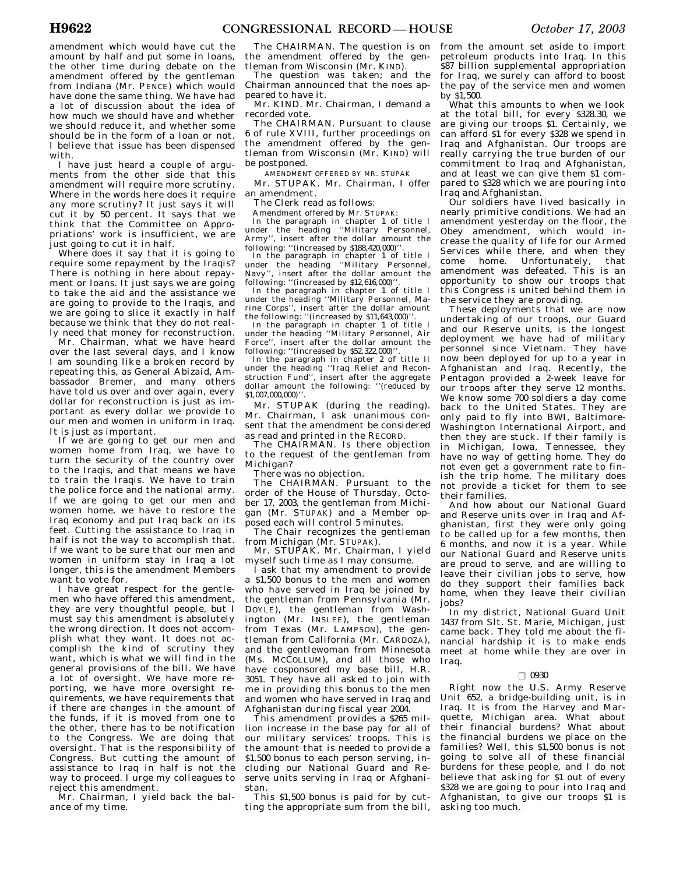amendment which would have cut the amount by half and put some in loans, the other time during debate on the amendment offered by the gentleman from Indiana (Mr. PENCE) which would have done the same thing. We have had a lot of discussion about the idea of how much we should have and whether we should reduce it, and whether some should be in the form of a loan or not. I believe that issue has been dispensed with.

I have just heard a couple of arguments from the other side that this amendment will require more scrutiny. Where in the words here does it require any more scrutiny? It just says it will cut it by 50 percent. It says that we think that the Committee on Appropriations' work is insufficient, we are just going to cut it in half.

Where does it say that it is going to require some repayment by the Iraqis? There is nothing in here about repayment or loans. It just says we are going to take the aid and the assistance we are going to provide to the Iraqis, and we are going to slice it exactly in half because we think that they do not really need that money for reconstruction.

Mr. Chairman, what we have heard over the last several days, and I know I am sounding like a broken record by repeating this, as General Abizaid, Ambassador Bremer, and many others have told us over and over again, every dollar for reconstruction is just as important as every dollar we provide to our men and women in uniform in Iraq. It is just as important.

If we are going to get our men and women home from Iraq, we have to turn the security of the country over to the Iraqis, and that means we have to train the Iraqis. We have to train the police force and the national army. If we are going to get our men and women home, we have to restore the Iraq economy and put Iraq back on its feet. Cutting the assistance to Iraq in half is not the way to accomplish that. If we want to be sure that our men and women in uniform stay in Iraq a lot longer, this is the amendment Members want to vote for.

I have great respect for the gentlemen who have offered this amendment, they are very thoughtful people, but I must say this amendment is absolutely the wrong direction. It does not accomplish what they want. It does not accomplish the kind of scrutiny they want, which is what we will find in the general provisions of the bill. We have a lot of oversight. We have more reporting, we have more oversight requirements, we have requirements that if there are changes in the amount of the funds, if it is moved from one to the other, there has to be notification to the Congress. We are doing that oversight. That is the responsibility of Congress. But cutting the amount of assistance to Iraq in half is not the way to proceed. I urge my colleagues to reject this amendment.

Mr. Chairman, I yield back the balance of my time.

the amendment offered by the gentleman from Wisconsin (Mr. KIND).

The question was taken; and the Chairman announced that the noes appeared to have it.

Mr. KIND. Mr. Chairman, I demand a recorded vote.

The CHAIRMAN. Pursuant to clause 6 of rule XVIII, further proceedings on the amendment offered by the gentleman from Wisconsin (Mr. KIND) will be postponed.

AMENDMENT OFFERED BY MR. STUPAK

Mr. STUPAK. Mr. Chairman, I offer an amendment.

The Clerk read as follows:

Amendment offered by Mr. STUPAK:

In the paragraph in chapter 1 of title I under the heading ''Military Personnel, Army'', insert after the dollar amount the following: "(increased by \$188,420,000)'

In the paragraph in chapter 1 of title I under the heading ''Military Personnel, Navy'', insert after the dollar amount the following: "(increased by \$12,616,000)'

In the paragraph in chapter 1 of title I under the heading ''Military Personnel, Marine Corps'', insert after the dollar amount the following: "(increased by \$11,643,000)'

In the paragraph in chapter 1 of title I under the heading ''Military Personnel, Air Force'', insert after the dollar amount the following: "(increased by \$52,322,000)"

In the paragraph in chapter 2 of title II under the heading ''Iraq Relief and Reconstruction Fund'', insert after the aggregate dollar amount the following: ''(reduced by \$1,007,000,000)''

Mr. STUPAK (during the reading). Mr. Chairman, I ask unanimous consent that the amendment be considered as read and printed in the RECORD.

The CHAIRMAN. Is there objection to the request of the gentleman from Michigan?

There was no objection.

The CHAIRMAN. Pursuant to the order of the House of Thursday, October 17, 2003, the gentleman from Michigan (Mr. STUPAK) and a Member opposed each will control 5 minutes.

The Chair recognizes the gentleman from Michigan (Mr. STUPAK).

Mr. STUPAK. Mr. Chairman, I yield myself such time as I may consume.

I ask that my amendment to provide a \$1,500 bonus to the men and women who have served in Iraq be joined by the gentleman from Pennsylvania (Mr. DOYLE), the gentleman from Washington (Mr. INSLEE), the gentleman from Texas (Mr. LAMPSON), the gentleman from California (Mr. CARDOZA), and the gentlewoman from Minnesota (Ms. MCCOLLUM), and all those who have cosponsored my base bill, H.R. 3051. They have all asked to join with me in providing this bonus to the men and women who have served in Iraq and Afghanistan during fiscal year 2004.

This amendment provides a \$265 million increase in the base pay for all of our military services' troops. This is the amount that is needed to provide a \$1,500 bonus to each person serving, including our National Guard and Reserve units serving in Iraq or Afghanistan.

This \$1,500 bonus is paid for by cutting the appropriate sum from the bill,

The CHAIRMAN. The question is on from the amount set aside to import petroleum products into Iraq. In this \$87 billion supplemental appropriation for Iraq, we surely can afford to boost the pay of the service men and women by \$1,500.

What this amounts to when we look at the total bill, for every \$328.30, we are giving our troops \$1. Certainly, we can afford \$1 for every \$328 we spend in Iraq and Afghanistan. Our troops are really carrying the true burden of our commitment to Iraq and Afghanistan, and at least we can give them \$1 compared to \$328 which we are pouring into Iraq and Afghanistan.

Our soldiers have lived basically in nearly primitive conditions. We had an amendment yesterday on the floor, the Obey amendment, which would increase the quality of life for our Armed Services while there, and when they come home. Unfortunately, that amendment was defeated. This is an opportunity to show our troops that this Congress is united behind them in the service they are providing.

These deployments that we are now undertaking of our troops, our Guard and our Reserve units, is the longest deployment we have had of military personnel since Vietnam. They have now been deployed for up to a year in Afghanistan and Iraq. Recently, the Pentagon provided a 2-week leave for our troops after they serve 12 months. We know some 700 soldiers a day come back to the United States. They are only paid to fly into BWI, Baltimore-Washington International Airport, and then they are stuck. If their family is in Michigan, Iowa, Tennessee, they have no way of getting home. They do not even get a government rate to finish the trip home. The military does not provide a ticket for them to see their families.

And how about our National Guard and Reserve units over in Iraq and Afghanistan, first they were only going to be called up for a few months, then 6 months, and now it is a year. While our National Guard and Reserve units are proud to serve, and are willing to leave their civilian jobs to serve, how do they support their families back home, when they leave their civilian jobs?

In my district, National Guard Unit 1437 from Slt. St. Marie, Michigan, just came back. They told me about the financial hardship it is to make ends meet at home while they are over in Iraq.

## $\square$  0930

Right now the U.S. Army Reserve Unit 652, a bridge-building unit, is in Iraq. It is from the Harvey and Marquette, Michigan area. What about their financial burdens? What about the financial burdens we place on the families? Well, this \$1,500 bonus is not going to solve all of these financial burdens for these people, and I do not believe that asking for \$1 out of every \$328 we are going to pour into Iraq and Afghanistan, to give our troops \$1 is asking too much.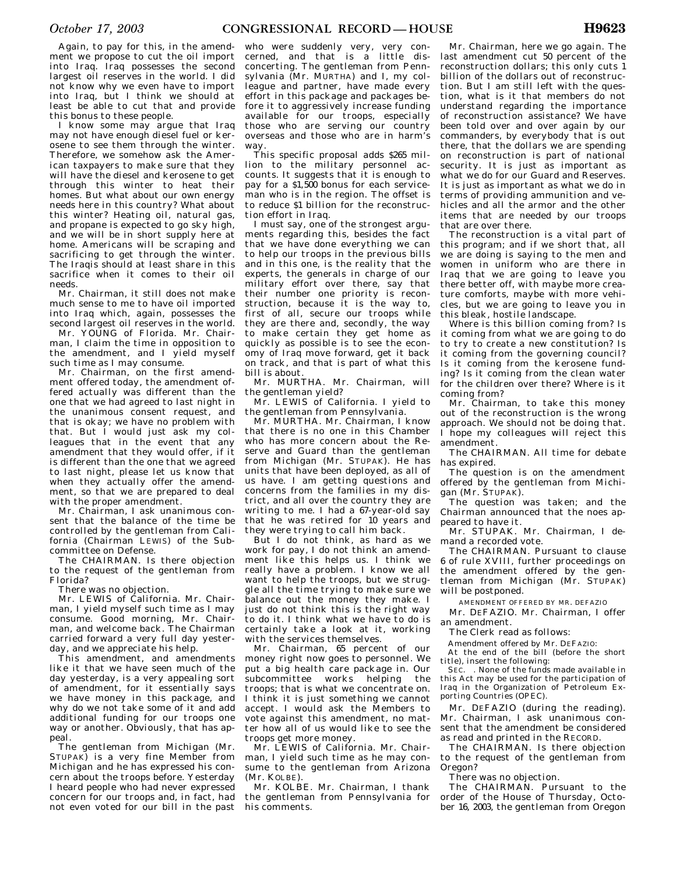Again, to pay for this, in the amendment we propose to cut the oil import into Iraq. Iraq possesses the second largest oil reserves in the world. I did not know why we even have to import into Iraq, but I think we should at least be able to cut that and provide this bonus to these people.

I know some may argue that Iraq may not have enough diesel fuel or kerosene to see them through the winter. Therefore, we somehow ask the American taxpayers to make sure that they will have the diesel and kerosene to get through this winter to heat their homes. But what about our own energy needs here in this country? What about this winter? Heating oil, natural gas, and propane is expected to go sky high, and we will be in short supply here at home. Americans will be scraping and sacrificing to get through the winter. The Iraqis should at least share in this sacrifice when it comes to their oil needs.

Mr. Chairman, it still does not make much sense to me to have oil imported into Iraq which, again, possesses the second largest oil reserves in the world.

Mr. YOUNG of Florida. Mr. Chairman, I claim the time in opposition to the amendment, and I yield myself such time as I may consume.

Mr. Chairman, on the first amendment offered today, the amendment offered actually was different than the one that we had agreed to last night in the unanimous consent request, and that is okay; we have no problem with that. But I would just ask my colleagues that in the event that any amendment that they would offer, if it is different than the one that we agreed to last night, please let us know that when they actually offer the amendment, so that we are prepared to deal with the proper amendment.

Mr. Chairman, I ask unanimous consent that the balance of the time be controlled by the gentleman from California (Chairman LEWIS) of the Subcommittee on Defense.

The CHAIRMAN. Is there objection to the request of the gentleman from Florida?

There was no objection.

Mr. LEWIS of California. Mr. Chairman, I yield myself such time as I may consume. Good morning, Mr. Chairman, and welcome back. The Chairman carried forward a very full day yesterday, and we appreciate his help.

This amendment, and amendments like it that we have seen much of the day yesterday, is a very appealing sort of amendment, for it essentially says we have money in this package, and why do we not take some of it and add additional funding for our troops one way or another. Obviously, that has appeal.

The gentleman from Michigan (Mr. STUPAK) is a very fine Member from Michigan and he has expressed his concern about the troops before. Yesterday I heard people who had never expressed concern for our troops and, in fact, had not even voted for our bill in the past

who were suddenly very, very concerned, and that is a little disconcerting. The gentleman from Pennsylvania (Mr. MURTHA) and I, my colleague and partner, have made every effort in this package and packages before it to aggressively increase funding available for our troops, especially those who are serving our country overseas and those who are in harm's way.

This specific proposal adds \$265 million to the military personnel accounts. It suggests that it is enough to pay for a \$1,500 bonus for each serviceman who is in the region. The offset is to reduce \$1 billion for the reconstruction effort in Iraq.

I must say, one of the strongest arguments regarding this, besides the fact that we have done everything we can to help our troops in the previous bills and in this one, is the reality that the experts, the generals in charge of our military effort over there, say that their number one priority is reconstruction, because it is the way to, first of all, secure our troops while they are there and, secondly, the way to make certain they get home as quickly as possible is to see the economy of Iraq move forward, get it back on track, and that is part of what this bill is about.

Mr. MURTHA. Mr. Chairman, will the gentleman yield?

Mr. LEWIS of California. I yield to the gentleman from Pennsylvania.

Mr. MURTHA. Mr. Chairman, I know that there is no one in this Chamber who has more concern about the Reserve and Guard than the gentleman from Michigan (Mr. STUPAK). He has units that have been deployed, as all of us have. I am getting questions and concerns from the families in my district, and all over the country they are writing to me. I had a 67-year-old say that he was retired for 10 years and they were trying to call him back.

But I do not think as hard as we work for pay, I do not think an amendment like this helps us. I think we really have a problem. I know we all want to help the troops, but we struggle all the time trying to make sure we balance out the money they make. I just do not think this is the right way to do it. I think what we have to do is certainly take a look at it, working with the services themselves.

Mr. Chairman, 65 percent of our money right now goes to personnel. We put a big health care package in. Our subcommittee works helping the troops; that is what we concentrate on. I think it is just something we cannot accept. I would ask the Members to vote against this amendment, no matter how all of us would like to see the troops get more money.

Mr. LEWIS of California. Mr. Chairman, I yield such time as he may consume to the gentleman from Arizona (Mr. KOLBE).

Mr. KOLBE. Mr. Chairman, I thank the gentleman from Pennsylvania for his comments.

Mr. Chairman, here we go again. The last amendment cut 50 percent of the reconstruction dollars; this only cuts 1 billion of the dollars out of reconstruction. But I am still left with the question, what is it that members do not understand regarding the importance of reconstruction assistance? We have been told over and over again by our commanders, by everybody that is out there, that the dollars we are spending on reconstruction is part of national security. It is just as important as what we do for our Guard and Reserves. It is just as important as what we do in terms of providing ammunition and vehicles and all the armor and the other items that are needed by our troops that are over there.

The reconstruction is a vital part of this program; and if we short that, all we are doing is saying to the men and women in uniform who are there in Iraq that we are going to leave you there better off, with maybe more creature comforts, maybe with more vehicles, but we are going to leave you in this bleak, hostile landscape.

Where is this billion coming from? Is it coming from what we are going to do to try to create a new constitution? Is it coming from the governing council? Is it coming from the kerosene funding? Is it coming from the clean water for the children over there? Where is it coming from?

Mr. Chairman, to take this money out of the reconstruction is the wrong approach. We should not be doing that. I hope my colleagues will reject this amendment.

The CHAIRMAN. All time for debate has expired.

The question is on the amendment offered by the gentleman from Michigan (Mr. STUPAK).

The question was taken; and the Chairman announced that the noes appeared to have it.

Mr. STUPAK. Mr. Chairman, I demand a recorded vote.

The CHAIRMAN. Pursuant to clause 6 of rule XVIII, further proceedings on the amendment offered by the gentleman from Michigan (Mr. STUPAK) will be postponed.

AMENDMENT OFFERED BY MR. DEFAZIO

Mr. DEFAZIO. Mr. Chairman, I offer an amendment.

The Clerk read as follows:

Amendment offered by Mr. DEFAZIO:

At the end of the bill (before the short title), insert the following:

SEC. . None of the funds made available in this Act may be used for the participation of Iraq in the Organization of Petroleum Exporting Countries (OPEC).

Mr. DEFAZIO (during the reading). Mr. Chairman, I ask unanimous consent that the amendment be considered as read and printed in the RECORD.

The CHAIRMAN. Is there objection to the request of the gentleman from Oregon?

There was no objection.

The CHAIRMAN. Pursuant to the order of the House of Thursday, October 16, 2003, the gentleman from Oregon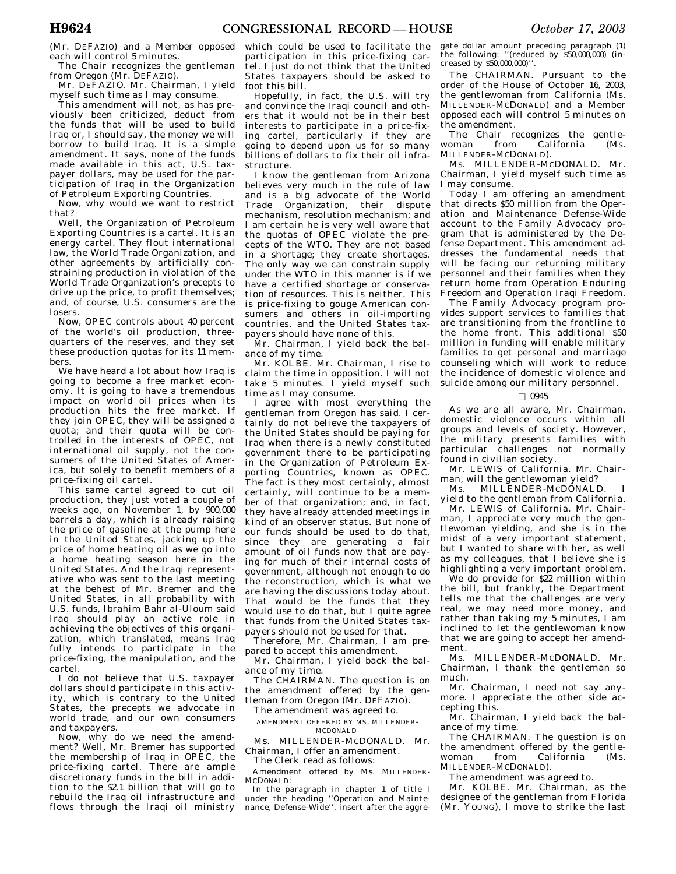(Mr. DEFAZIO) and a Member opposed each will control 5 minutes.

The Chair recognizes the gentleman from Oregon (Mr. DEFAZIO).

Mr. DEFAZIO. Mr. Chairman, I yield myself such time as I may consume.

This amendment will not, as has previously been criticized, deduct from the funds that will be used to build Iraq or, I should say, the money we will borrow to build Iraq. It is a simple amendment. It says, none of the funds made available in this act, U.S. taxpayer dollars, may be used for the participation of Iraq in the Organization of Petroleum Exporting Countries.

Now, why would we want to restrict that?

Well, the Organization of Petroleum Exporting Countries is a cartel. It is an energy cartel. They flout international law, the World Trade Organization, and other agreements by artificially constraining production in violation of the World Trade Organization's precepts to drive up the price, to profit themselves; and, of course, U.S. consumers are the losers.

Now, OPEC controls about 40 percent of the world's oil production, threequarters of the reserves, and they set these production quotas for its 11 members.

We have heard a lot about how Iraq is going to become a free market economy. It is going to have a tremendous impact on world oil prices when its production hits the free market. If they join OPEC, they will be assigned a quota; and their quota will be controlled in the interests of OPEC, not international oil supply, not the consumers of the United States of America, but solely to benefit members of a price-fixing oil cartel.

This same cartel agreed to cut oil production, they just voted a couple of weeks ago, on November 1, by 900,000 barrels a day, which is already raising the price of gasoline at the pump here in the United States, jacking up the price of home heating oil as we go into a home heating season here in the United States. And the Iraqi representative who was sent to the last meeting at the behest of Mr. Bremer and the United States, in all probability with U.S. funds, Ibrahim Bahr al-Uloum said Iraq should play an active role in achieving the objectives of this organization, which translated, means Iraq fully intends to participate in the price-fixing, the manipulation, and the cartel.

I do not believe that U.S. taxpayer dollars should participate in this activity, which is contrary to the United States, the precepts we advocate in world trade, and our own consumers and taxpayers.

Now, why do we need the amendment? Well, Mr. Bremer has supported the membership of Iraq in OPEC, the price-fixing cartel. There are ample discretionary funds in the bill in addition to the \$2.1 billion that will go to rebuild the Iraq oil infrastructure and flows through the Iraqi oil ministry

which could be used to facilitate the participation in this price-fixing cartel. I just do not think that the United States taxpayers should be asked to foot this bill.

Hopefully, in fact, the U.S. will try and convince the Iraqi council and others that it would not be in their best interests to participate in a price-fixing cartel, particularly if they are going to depend upon us for so many billions of dollars to fix their oil infrastructure.

I know the gentleman from Arizona believes very much in the rule of law and is a big advocate of the World Trade Organization, their dispute mechanism, resolution mechanism; and I am certain he is very well aware that the quotas of OPEC violate the precepts of the WTO. They are not based in a shortage; they create shortages. The only way we can constrain supply under the WTO in this manner is if we have a certified shortage or conservation of resources. This is neither. This is price-fixing to gouge American consumers and others in oil-importing countries, and the United States taxpayers should have none of this.

Mr. Chairman, I yield back the balance of my time.

Mr. KOLBE. Mr. Chairman, I rise to claim the time in opposition. I will not take 5 minutes. I yield myself such time as I may consume.

I agree with most everything the gentleman from Oregon has said. I certainly do not believe the taxpayers of the United States should be paying for Iraq when there is a newly constituted government there to be participating in the Organization of Petroleum Exporting Countries, known as OPEC. The fact is they most certainly, almost certainly, will continue to be a member of that organization; and, in fact, they have already attended meetings in kind of an observer status. But none of our funds should be used to do that, since they are generating a fair amount of oil funds now that are paying for much of their internal costs of government, although not enough to do the reconstruction, which is what we are having the discussions today about. That would be the funds that they would use to do that, but I quite agree that funds from the United States taxpayers should not be used for that.

Therefore, Mr. Chairman, I am prepared to accept this amendment.

Mr. Chairman, I yield back the balance of my time.

The CHAIRMAN. The question is on the amendment offered by the gentleman from Oregon (Mr. DEFAZIO).

The amendment was agreed to.

AMENDMENT OFFERED BY MS. MILLENDER-MCDONALD

Ms. MILLENDER-MCDONALD. Mr. Chairman, I offer an amendment.

The Clerk read as follows: Amendment offered by Ms. MILLENDER-MCDONALD:

In the paragraph in chapter 1 of title I under the heading ''Operation and Maintenance, Defense-Wide'', insert after the aggre-

gate dollar amount preceding paragraph (1) the following: ''(reduced by \$50,000,000) (increased by \$50,000,000)''.

The CHAIRMAN. Pursuant to the order of the House of October 16, 2003, the gentlewoman from California (Ms. MILLENDER-MCDONALD) and a Member opposed each will control 5 minutes on the amendment.

The Chair recognizes the gentlewoman from California (Ms. MILLENDER-MCDONALD).

Ms. MILLENDER-MCDONALD. Mr. Chairman, I yield myself such time as I may consume.

Today I am offering an amendment that directs \$50 million from the Operation and Maintenance Defense-Wide account to the Family Advocacy program that is administered by the Defense Department. This amendment addresses the fundamental needs that will be facing our returning military personnel and their families when they return home from Operation Enduring Freedom and Operation Iraqi Freedom.

The Family Advocacy program provides support services to families that are transitioning from the frontline to the home front. This additional \$50 million in funding will enable military families to get personal and marriage counseling which will work to reduce the incidence of domestic violence and suicide among our military personnel.

### $\Box$  0945

As we are all aware, Mr. Chairman, domestic violence occurs within all groups and levels of society. However, the military presents families with particular challenges not normally found in civilian society.

Mr. LEWIS of California. Mr. Chairman, will the gentlewoman yield?

Ms. MILLENDER-MCDONALD. yield to the gentleman from California.

Mr. LEWIS of California. Mr. Chairman, I appreciate very much the gentlewoman yielding, and she is in the midst of a very important statement, but I wanted to share with her, as well as my colleagues, that I believe she is highlighting a very important problem.

We do provide for \$22 million within the bill, but frankly, the Department tells me that the challenges are very real, we may need more money, and rather than taking my 5 minutes, I am inclined to let the gentlewoman know that we are going to accept her amendment.

Ms. MILLENDER-MCDONALD. Mr. Chairman, I thank the gentleman so much.

Mr. Chairman, I need not say anymore. I appreciate the other side accepting this.

Mr. Chairman, I yield back the balance of my time.

The CHAIRMAN. The question is on the amendment offered by the gentlewoman from California (Ms. MILLENDER-MCDONALD).

The amendment was agreed to.

Mr. KOLBE. Mr. Chairman, as the designee of the gentleman from Florida (Mr. YOUNG), I move to strike the last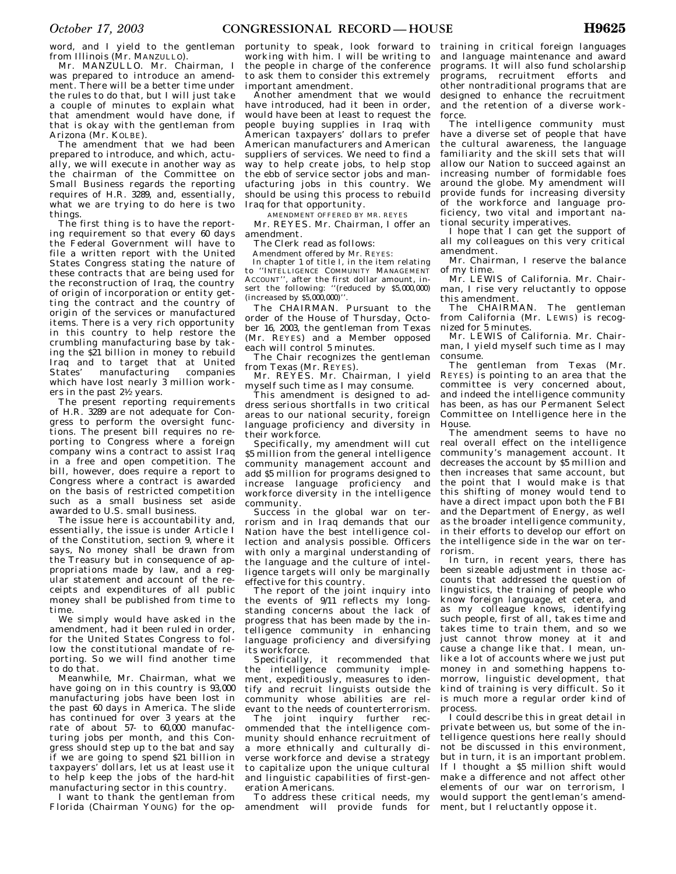word, and I yield to the gentleman from Illinois (Mr. MANZULLO).

Mr. MANZULLO. Mr. Chairman, I was prepared to introduce an amendment. There will be a better time under the rules to do that, but I will just take a couple of minutes to explain what that amendment would have done, if that is okay with the gentleman from Arizona (Mr. KOLBE).

The amendment that we had been prepared to introduce, and which, actually, we will execute in another way as the chairman of the Committee on Small Business regards the reporting requires of H.R. 3289, and, essentially, what we are trying to do here is two things.

The first thing is to have the reporting requirement so that every 60 days the Federal Government will have to file a written report with the United States Congress stating the nature of these contracts that are being used for the reconstruction of Iraq, the country of origin of incorporation or entity getting the contract and the country of origin of the services or manufactured items. There is a very rich opportunity in this country to help restore the crumbling manufacturing base by taking the \$21 billion in money to rebuild Iraq and to target that at United States' manufacturing companies which have lost nearly  $\widetilde{3}$  million workers in the past 21⁄2 years.

The present reporting requirements of H.R. 3289 are not adequate for Congress to perform the oversight functions. The present bill requires no reporting to Congress where a foreign company wins a contract to assist Iraq in a free and open competition. The bill, however, does require a report to Congress where a contract is awarded on the basis of restricted competition such as a small business set aside awarded to U.S. small business.

The issue here is accountability and, essentially, the issue is under Article I of the Constitution, section 9, where it says, No money shall be drawn from the Treasury but in consequence of appropriations made by law, and a regular statement and account of the receipts and expenditures of all public money shall be published from time to time.

We simply would have asked in the amendment, had it been ruled in order, for the United States Congress to follow the constitutional mandate of reporting. So we will find another time to do that.

Meanwhile, Mr. Chairman, what we have going on in this country is 93,000 manufacturing jobs have been lost in the past 60 days in America. The slide has continued for over 3 years at the rate of about  $57-$  to  $60,000$  manufacturing jobs per month, and this Congress should step up to the bat and say if we are going to spend \$21 billion in taxpayers' dollars, let us at least use it to help keep the jobs of the hard-hit manufacturing sector in this country.

I want to thank the gentleman from Florida (Chairman YOUNG) for the opportunity to speak, look forward to working with him. I will be writing to the people in charge of the conference to ask them to consider this extremely important amendment.

Another amendment that we would have introduced, had it been in order, would have been at least to request the people buying supplies in Iraq with American taxpayers' dollars to prefer American manufacturers and American suppliers of services. We need to find a way to help create jobs, to help stop the ebb of service sector jobs and manufacturing jobs in this country. We should be using this process to rebuild Iraq for that opportunity.

AMENDMENT OFFERED BY MR. REYES

Mr. REYES. Mr. Chairman, I offer an amendment.

The Clerk read as follows:

Amendment offered by Mr. REYES:

In chapter 1 of title I, in the item relating to ''INTELLIGENCE COMMUNITY MANAGEMENT ACCOUNT'', after the first dollar amount, insert the following: ''(reduced by \$5,000,000) (increased by \$5,000,000)''.

The CHAIRMAN. Pursuant to the order of the House of Thursday, October 16, 2003, the gentleman from Texas (Mr. REYES) and a Member opposed each will control 5 minutes.

The Chair recognizes the gentleman from Texas (Mr. REYES).

Mr. REYES. Mr. Chairman, I yield myself such time as I may consume.

This amendment is designed to address serious shortfalls in two critical areas to our national security, foreign language proficiency and diversity in their workforce.

Specifically, my amendment will cut \$5 million from the general intelligence community management account and add \$5 million for programs designed to increase language proficiency and workforce diversity in the intelligence community.

Success in the global war on terrorism and in Iraq demands that our Nation have the best intelligence collection and analysis possible. Officers with only a marginal understanding of the language and the culture of intelligence targets will only be marginally effective for this country.

The report of the joint inquiry into the events of 9/11 reflects my longstanding concerns about the lack of progress that has been made by the intelligence community in enhancing language proficiency and diversifying its workforce.

Specifically, it recommended that the intelligence community implement, expeditiously, measures to identify and recruit linguists outside the community whose abilities are relevant to the needs of counterterrorism.

The joint inquiry further recommended that the intelligence community should enhance recruitment of a more ethnically and culturally diverse workforce and devise a strategy to capitalize upon the unique cultural and linguistic capabilities of first-generation Americans.

To address these critical needs, my amendment will provide funds for training in critical foreign languages and language maintenance and award programs. It will also fund scholarship programs, recruitment efforts and other nontraditional programs that are designed to enhance the recruitment and the retention of a diverse workforce.

The intelligence community must have a diverse set of people that have the cultural awareness, the language familiarity and the skill sets that will allow our Nation to succeed against an increasing number of formidable foes around the globe. My amendment will provide funds for increasing diversity of the workforce and language proficiency, two vital and important national security imperatives.

I hope that I can get the support of all my colleagues on this very critical amendment.

Mr. Chairman, I reserve the balance of my time.

Mr. LEWIS of California. Mr. Chairman, I rise very reluctantly to oppose this amendment.

The CHAIRMAN. The gentleman from California (Mr. LEWIS) is recognized for 5 minutes.

Mr. LEWIS of California. Mr. Chairman, I yield myself such time as I may consume.

The gentleman from Texas (Mr. REYES) is pointing to an area that the committee is very concerned about, and indeed the intelligence community has been, as has our Permanent Select Committee on Intelligence here in the House.

The amendment seems to have no real overall effect on the intelligence community's management account. It decreases the account by \$5 million and then increases that same account, but the point that I would make is that this shifting of money would tend to have a direct impact upon both the FBI and the Department of Energy, as well as the broader intelligence community, in their efforts to develop our effort on the intelligence side in the war on terrorism.

In turn, in recent years, there has been sizeable adjustment in those accounts that addressed the question of linguistics, the training of people who know foreign language, et cetera, and as my colleague knows, identifying such people, first of all, takes time and takes time to train them, and so we just cannot throw money at it and cause a change like that. I mean, unlike a lot of accounts where we just put money in and something happens tomorrow, linguistic development, that kind of training is very difficult. So it is much more a regular order kind of process.

I could describe this in great detail in private between us, but some of the intelligence questions here really should not be discussed in this environment, but in turn, it is an important problem. If I thought a \$5 million shift would make a difference and not affect other elements of our war on terrorism, I would support the gentleman's amendment, but I reluctantly oppose it.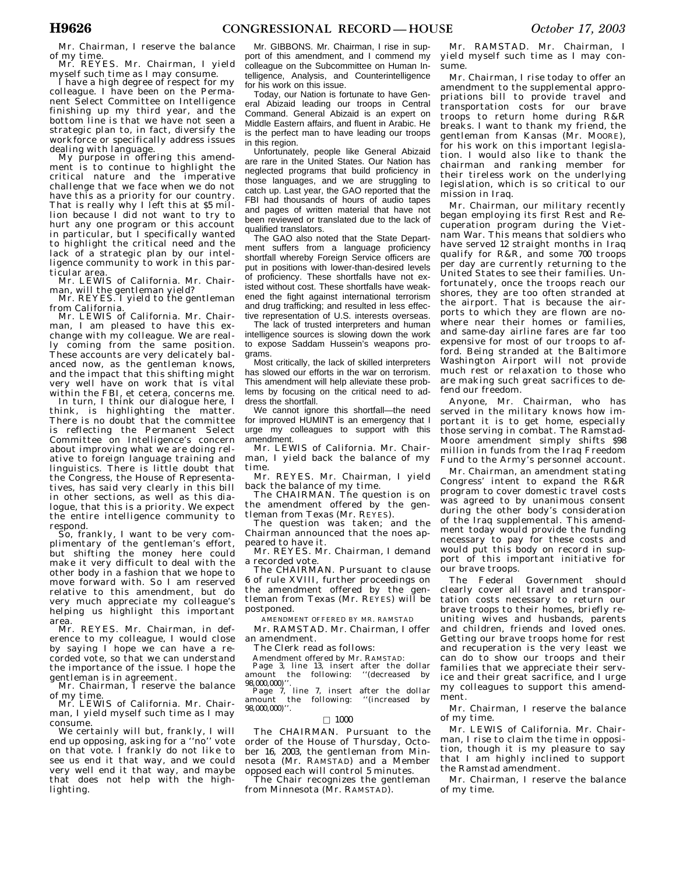Mr. Chairman, I reserve the balance

of my time.<br>Mr. REYES. Mr. Chairman, I yield<br>myself such time as I may consume.

I have a high degree of respect for my colleague. I have been on the Permanent Select Committee on Intelligence finishing up my third year, and the bottom line is that we have not seen a strategic plan to, in fact, diversify the workforce or specifically address issues<br>dealing with language.

My purpose in offering this amendment is to continue to highlight the critical nature and the imperative challenge that we face when we do not have this as a priority for our country. That is really why I left this at \$5 million because I did not want to try to hurt any one program or this account in particular, but I specifically wanted to highlight the critical need and the lack of a strategic plan by our intelligence community to work in this particular area.

Mr. LEWIS of California. Mr. Chairman, will the gentleman yield? Mr. REYES. I yield to the gentleman

from California.

Mr. LEWIS of California. Mr. Chairman, I am pleased to have this exchange with my colleague. We are really coming from the same position. These accounts are very delicately balanced now, as the gentleman knows, and the impact that this shifting might very well have on work that is vital within the FBI, et cetera, concerns me.

In turn, I think our dialogue here, I think, is highlighting the matter. There is no doubt that the committee is reflecting the Permanent Select Committee on Intelligence's concern about improving what we are doing relative to foreign language training and linguistics. There is little doubt that the Congress, the House of Representatives, has said very clearly in this bill in other sections, as well as this dialogue, that this is a priority. We expect the entire intelligence community to

So, frankly, I want to be very complimentary of the gentleman's effort, but shifting the money here could make it very difficult to deal with the other body in a fashion that we hope to move forward with. So I am reserved relative to this amendment, but do very much appreciate my colleague's helping us highlight this important

area. Mr. REYES. Mr. Chairman, in deference to my colleague, I would close by saying I hope we can have a recorded vote, so that we can understand the importance of the issue. I hope the gentleman is in agreement. Mr. Chairman, I reserve the balance

of my time. Mr. LEWIS of California. Mr. Chair-

man, I yield myself such time as I may

We certainly will but, frankly, I will end up opposing, asking for a ''no'' vote on that vote. I frankly do not like to see us end it that way, and we could very well end it that way, and maybe that does not help with the highlighting.

Mr. GIBBONS. Mr. Chairman, I rise in support of this amendment, and I commend my colleague on the Subcommittee on Human Intelligence, Analysis, and Counterintelligence for his work on this issue.

Today, our Nation is fortunate to have General Abizaid leading our troops in Central Command. General Abizaid is an expert on Middle Eastern affairs, and fluent in Arabic. He is the perfect man to have leading our troops in this region.

Unfortunately, people like General Abizaid are rare in the United States. Our Nation has neglected programs that build proficiency in those languages, and we are struggling to catch up. Last year, the GAO reported that the FBI had thousands of hours of audio tapes and pages of written material that have not been reviewed or translated due to the lack of qualified translators.

The GAO also noted that the State Department suffers from a language proficiency shortfall whereby Foreign Service officers are put in positions with lower-than-desired levels of proficiency. These shortfalls have not existed without cost. These shortfalls have weakened the fight against international terrorism and drug trafficking; and resulted in less effective representation of U.S. interests overseas.

The lack of trusted interpreters and human intelligence sources is slowing down the work to expose Saddam Hussein's weapons programs.

Most critically, the lack of skilled interpreters has slowed our efforts in the war on terrorism. This amendment will help alleviate these problems by focusing on the critical need to address the shortfall.

We cannot ignore this shortfall—the need for improved HUMINT is an emergency that I urge my colleagues to support with this amendment.

Mr. LEWIS of California. Mr. Chairman, I yield back the balance of my time.

Mr. REYES. Mr. Chairman, I yield back the balance of my time.

The CHAIRMAN. The question is on the amendment offered by the gentleman from Texas (Mr. REYES).

The question was taken; and the Chairman announced that the noes appeared to have it.

Mr. REYES. Mr. Chairman, I demand a recorded vote.

The CHAIRMAN. Pursuant to clause 6 of rule XVIII, further proceedings on the amendment offered by the gentleman from Texas (Mr. REYES) will be postponed.

AMENDMENT OFFERED BY MR. RAMSTAD Mr. RAMSTAD. Mr. Chairman, I offer an amendment.

The Clerk read as follows:

Amendment offered by Mr. RAMSTAD:

Page 3, line 13, insert after the dollar amount the following: ''(decreased by 98,000,000)''.

Page 7, line 7, insert after the dollar amount the following: ''(increased by 98,000,000)''.

#### $\Box$  1000

The CHAIRMAN. Pursuant to the order of the House of Thursday, October 16, 2003, the gentleman from Minnesota (Mr. RAMSTAD) and a Member opposed each will control 5 minutes.

The Chair recognizes the gentleman from Minnesota (Mr. RAMSTAD).

Mr. RAMSTAD. Mr. Chairman, I yield myself such time as I may consume.

Mr. Chairman, I rise today to offer an amendment to the supplemental appropriations bill to provide travel and transportation costs for our brave troops to return home during R&R breaks. I want to thank my friend, the gentleman from Kansas (Mr. MOORE), for his work on this important legislation. I would also like to thank the chairman and ranking member for their tireless work on the underlying legislation, which is so critical to our mission in Iraq.

Mr. Chairman, our military recently began employing its first Rest and Recuperation program during the Vietnam War. This means that soldiers who have served 12 straight months in Iraq qualify for R&R, and some 700 troops per day are currently returning to the United States to see their families. Unfortunately, once the troops reach our shores, they are too often stranded at the airport. That is because the airports to which they are flown are nowhere near their homes or families, and same-day airline fares are far too expensive for most of our troops to afford. Being stranded at the Baltimore Washington Airport will not provide much rest or relaxation to those who are making such great sacrifices to defend our freedom.

Anyone, Mr. Chairman, who has served in the military knows how important it is to get home, especially those serving in combat. The Ramstad-Moore amendment simply shifts \$98 million in funds from the Iraq Freedom Fund to the Army's personnel account.

Mr. Chairman, an amendment stating Congress' intent to expand the  $R\&R$ program to cover domestic travel costs was agreed to by unanimous consent during the other body's consideration of the Iraq supplemental. This amendment today would provide the funding necessary to pay for these costs and would put this body on record in support of this important initiative for our brave troops.

The Federal Government should clearly cover all travel and transportation costs necessary to return our brave troops to their homes, briefly reuniting wives and husbands, parents and children, friends and loved ones. Getting our brave troops home for rest and recuperation is the very least we can do to show our troops and their families that we appreciate their service and their great sacrifice, and I urge my colleagues to support this amendment.

Mr. Chairman, I reserve the balance of my time.

Mr. LEWIS of California. Mr. Chairman, I rise to claim the time in opposition, though it is my pleasure to say that I am highly inclined to support the Ramstad amendment.

Mr. Chairman, I reserve the balance of my time.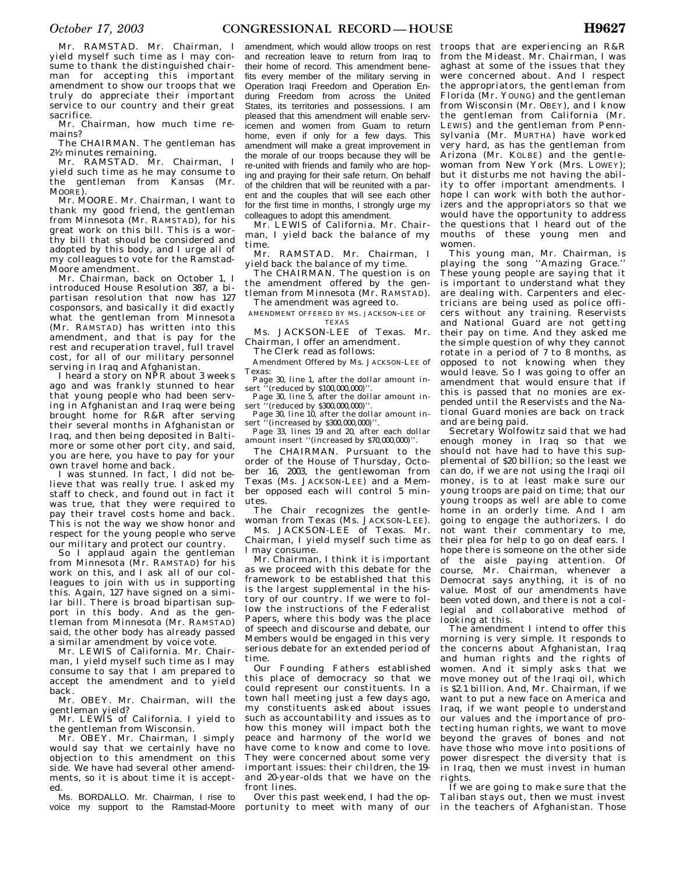Mr. RAMSTAD. Mr. Chairman, I yield myself such time as I may consume to thank the distinguished chairman for accepting this important amendment to show our troops that we truly do appreciate their important service to our country and their great sacrifice.

Mr. Chairman, how much time remains?

The CHAIRMAN. The gentleman has 21⁄2 minutes remaining.

Mr. RAMSTAD. Mr. Chairman, I yield such time as he may consume to the gentleman from Kansas (Mr. MOORE).

Mr. MOORE. Mr. Chairman, I want to thank my good friend, the gentleman from Minnesota (Mr. RAMSTAD), for his great work on this bill. This is a worthy bill that should be considered and adopted by this body, and I urge all of my colleagues to vote for the Ramstad-Moore amendment.

Mr. Chairman, back on October 1, I introduced House Resolution 387, a bipartisan resolution that now has 127 cosponsors, and basically it did exactly what the gentleman from Minnesota (Mr. RAMSTAD) has written into this amendment, and that is pay for the rest and recuperation travel, full travel cost, for all of our military personnel serving in Iraq and Afghanistan.

I heard a story on NPR about 3 weeks ago and was frankly stunned to hear that young people who had been serving in Afghanistan and Iraq were being brought home for R&R after serving their several months in Afghanistan or Iraq, and then being deposited in Baltimore or some other port city, and said, you are here, you have to pay for your own travel home and back.

I was stunned. In fact, I did not believe that was really true. I asked my staff to check, and found out in fact it was true, that they were required to pay their travel costs home and back. This is not the way we show honor and respect for the young people who serve our military and protect our country.

So I applaud again the gentleman from Minnesota (Mr. RAMSTAD) for his work on this, and I ask all of our colleagues to join with us in supporting this. Again, 127 have signed on a similar bill. There is broad bipartisan support in this body. And as the gentleman from Minnesota (Mr. RAMSTAD) said, the other body has already passed a similar amendment by voice vote.

Mr. LEWIS of California. Mr. Chairman, I yield myself such time as I may consume to say that I am prepared to accept the amendment and to yield back.

Mr. OBEY. Mr. Chairman, will the gentleman yield?

Mr. LEWIS of California. I yield to the gentleman from Wisconsin.

Mr. OBEY. Mr. Chairman, I simply would say that we certainly have no objection to this amendment on this side. We have had several other amendments, so it is about time it is accepted.

Ms. BORDALLO. Mr. Chairman, I rise to voice my support to the Ramstad-Moore

amendment, which would allow troops on rest and recreation leave to return from Iraq to their home of record. This amendment benefits every member of the military serving in Operation Iraqi Freedom and Operation Enduring Freedom from across the United States, its territories and possessions. I am pleased that this amendment will enable servicemen and women from Guam to return home, even if only for a few days. This amendment will make a great improvement in the morale of our troops because they will be re-united with friends and family who are hoping and praying for their safe return. On behalf of the children that will be reunited with a parent and the couples that will see each other for the first time in months, I strongly urge my colleagues to adopt this amendment.

Mr. LEWIS of California. Mr. Chairman, I yield back the balance of my time.

Mr. RAMSTAD. Mr. Chairman, I yield back the balance of my time.

The CHAIRMAN. The question is on the amendment offered by the gentleman from Minnesota (Mr. RAMSTAD). The amendment was agreed to.

AMENDMENT OFFERED BY MS. JACKSON-LEE OF TEXAS

Ms. JACKSON-LEE of Texas. Mr. Chairman, I offer an amendment.

The Clerk read as follows:

Amendment Offered by Ms. JACKSON-LEE of Texas:

Page 30, line 1, after the dollar amount insert  $\frac{1}{11}$  (reduced by \$100,000,000)''

Page 30, line 5, after the dollar amount insert.<sup>37</sup> (reduced by \$300,000,000)''

Page 30, line  $10$ , after the dollar amount in-<br>sert "(increased by \$300,000,000)" (increased by \$300,000,000)''.

Page 33, lines 19 and 20, after each dollar amount insert ''(increased by \$70,000,000)''.

The CHAIRMAN. Pursuant to the order of the House of Thursday, October 16, 2003, the gentlewoman from Texas (Ms. JACKSON-LEE) and a Member opposed each will control 5 minutes.

The Chair recognizes the gentlewoman from Texas (Ms. JACKSON-LEE).

Ms. JACKSON-LEE of Texas. Mr. Chairman, I yield myself such time as I may consume.

Mr. Chairman, I think it is important as we proceed with this debate for the framework to be established that this is the largest supplemental in the history of our country. If we were to follow the instructions of the Federalist Papers, where this body was the place of speech and discourse and debate, our Members would be engaged in this very serious debate for an extended period of time.

Our Founding Fathers established this place of democracy so that we could represent our constituents. In a town hall meeting just a few days ago, my constituents asked about issues such as accountability and issues as to how this money will impact both the peace and harmony of the world we have come to know and come to love. They were concerned about some very important issues: their children, the 19 and 20-year-olds that we have on the front lines.

Over this past weekend, I had the op-

troops that are experiencing an R&R from the Mideast. Mr. Chairman, I was aghast at some of the issues that they were concerned about. And I respect the appropriators, the gentleman from Florida (Mr. YOUNG) and the gentleman from Wisconsin (Mr. OBEY), and I know the gentleman from California (Mr. LEWIS) and the gentleman from Pennsylvania (Mr. MURTHA) have worked very hard, as has the gentleman from Arizona (Mr. KOLBE) and the gentlewoman from New York (Mrs. LOWEY); but it disturbs me not having the ability to offer important amendments. I hope I can work with both the authorizers and the appropriators so that we would have the opportunity to address the questions that I heard out of the mouths of these young men and women.

This young man, Mr. Chairman, is playing the song "Amazing Grace." These young people are saying that it is important to understand what they are dealing with. Carpenters and electricians are being used as police officers without any training. Reservists and National Guard are not getting their pay on time. And they asked me the simple question of why they cannot rotate in a period of 7 to 8 months, as opposed to not knowing when they would leave. So I was going to offer an amendment that would ensure that if this is passed that no monies are expended until the Reservists and the National Guard monies are back on track and are being paid.

Secretary Wolfowitz said that we had enough money in Iraq so that we should not have had to have this supplemental of \$20 billion; so the least we can do, if we are not using the Iraqi oil money, is to at least make sure our young troops are paid on time; that our young troops as well are able to come home in an orderly time. And I am going to engage the authorizers. I do not want their commentary to me, their plea for help to go on deaf ears. I hope there is someone on the other side of the aisle paying attention. Of course, Mr. Chairman, whenever a Democrat says anything, it is of no value. Most of our amendments have been voted down, and there is not a collegial and collaborative method of looking at this.

The amendment I intend to offer this morning is very simple. It responds to the concerns about Afghanistan, Iraq and human rights and the rights of women. And it simply asks that we move money out of the Iraqi oil, which is \$2.1 billion. And, Mr. Chairman, if we want to put a new face on America and Iraq, if we want people to understand our values and the importance of protecting human rights, we want to move beyond the graves of bones and not have those who move into positions of power disrespect the diversity that is in Iraq, then we must invest in human rights.

portunity to meet with many of our in the teachers of Afghanistan. Those If we are going to make sure that the Taliban stays out, then we must invest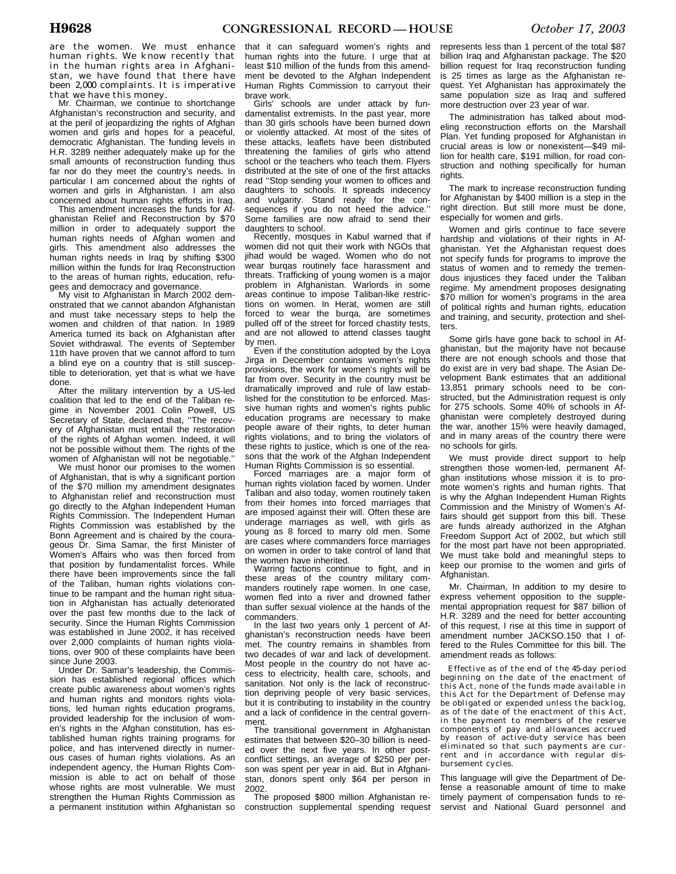are the women. We must enhance human rights. We know recently that in the human rights area in Afghanistan, we have found that there have been 2,000 complaints. It is imperative

that we have this money. Mr. Chairman, we continue to shortchange Afghanistan's reconstruction and security, and at the peril of jeopardizing the rights of Afghan women and girls and hopes for a peaceful, democratic Afghanistan. The funding levels in H.R. 3289 neither adequately make up for the small amounts of reconstruction funding thus far nor do they meet the country's needs. In particular I am concerned about the rights of women and girls in Afghanistan. I am also concerned about human rights efforts in Iraq.

This amendment increases the funds for Afghanistan Relief and Reconstruction by \$70 million in order to adequately support the human rights needs of Afghan women and girls. This amendment also addresses the human rights needs in Iraq by shifting \$300 million within the funds for Iraq Reconstruction to the areas of human rights, education, refu-

gees and democracy and governance. My visit to Afghanistan in March 2002 demonstrated that we cannot abandon Afghanistan and must take necessary steps to help the women and children of that nation. In 1989 America turned its back on Afghanistan after Soviet withdrawal. The events of September 11th have proven that we cannot afford to turn a blind eye on a country that is still susceptible to deterioration, yet that is what we have done.

After the military intervention by a US-led coalition that led to the end of the Taliban regime in November 2001 Colin Powell, US Secretary of State, declared that, "The recovery of Afghanistan must entail the restoration of the rights of Afghan women. Indeed, it will not be possible without them. The rights of the women of Afghanistan will not be negotiable."

We must honor our promises to the women of Afghanistan, that is why a significant portion of the \$70 million my amendment designates to Afghanistan relief and reconstruction must go directly to the Afghan Independent Human Rights Commission. The Independent Human Rights Commission was established by the Bonn Agreement and is chaired by the courageous Dr. Sima Samar, the first Minister of Women's Affairs who was then forced from that position by fundamentalist forces. While there have been improvements since the fall of the Taliban, human rights violations continue to be rampant and the human right situation in Afghanistan has actually deteriorated over the past few months due to the lack of security. Since the Human Rights Commission was established in June 2002, it has received over 2,000 complaints of human rights violations, over 900 of these complaints have been since June 2003.

Under Dr. Samar's leadership, the Commission has established regional offices which create public awareness about women's rights and human rights and monitors rights violations, led human rights education programs, provided leadership for the inclusion of women's rights in the Afghan constitution, has established human rights training programs for police, and has intervened directly in numerous cases of human rights violations. As an independent agency, the Human Rights Commission is able to act on behalf of those whose rights are most vulnerable. We must strengthen the Human Rights Commission as a permanent institution within Afghanistan so

that it can safeguard women's rights and human rights into the future. I urge that at least \$10 million of the funds from this amendment be devoted to the Afghan Independent Human Rights Commission to carryout their brave work.

Girls' schools are under attack by fundamentalist extremists. In the past year, more than 30 girls schools have been burned down or violently attacked. At most of the sites of these attacks, leaflets have been distributed threatening the families of girls who attend school or the teachers who teach them. Flyers distributed at the site of one of the first attacks read ''Stop sending your women to offices and daughters to schools. It spreads indecency and vulgarity. Stand ready for the consequences if you do not heed the advice.'' Some families are now afraid to send their<br>daughters to school

Recently, mosques in Kabul warned that if women did not quit their work with NGOs that jihad would be waged. Women who do not wear burqas routinely face harassment and threats. Trafficking of young women is a major problem in Afghanistan. Warlords in some areas continue to impose Taliban-like restrictions on women. In Herat, women are still forced to wear the burqa, are sometimes pulled off of the street for forced chastity tests, and are not allowed to attend classes taught by men. Even if the constitution adopted by the Loya

Jirga in December contains women's rights provisions, the work for women's rights will be far from over. Security in the country must be dramatically improved and rule of law established for the constitution to be enforced. Massive human rights and women's rights public education programs are necessary to make people aware of their rights, to deter human rights violations, and to bring the violators of these rights to justice, which is one of the reasons that the work of the Afghan Independent<br>Human Rights Commission is so essential.

Forced marriages are a major form of human rights violation faced by women. Under Taliban and also today, women routinely taken from their homes into forced marriages that are imposed against their will. Often these are underage marriages as well, with girls as young as 8 forced to marry old men. Some are cases where commanders force marriages on women in order to take control of land that the women have inherited.

Warring factions continue to fight, and in these areas of the country military commanders routinely rape women. In one case, women fled into a river and drowned father than suffer sexual violence at the hands of the commanders.

In the last two years only 1 percent of Afghanistan's reconstruction needs have been met. The country remains in shambles from two decades of war and lack of development. Most people in the country do not have access to electricity, health care, schools, and sanitation. Not only is the lack of reconstruction depriving people of very basic services, but it is contributing to instability in the country and a lack of confidence in the central government.

The transitional government in Afghanistan estimates that between \$20–30 billion is needed over the next five years. In other postconflict settings, an average of \$250 per person was spent per year in aid. But in Afghanistan, donors spent only \$64 per person in 2002.

The proposed \$800 million Afghanistan reconstruction supplemental spending request

represents less than 1 percent of the total \$87 billion Iraq and Afghanistan package. The \$20 billion request for Iraq reconstruction funding is 25 times as large as the Afghanistan request. Yet Afghanistan has approximately the same population size as Iraq and suffered more destruction over 23 year of war.

The administration has talked about modeling reconstruction efforts on the Marshall Plan. Yet funding proposed for Afghanistan in crucial areas is low or nonexistent—\$49 million for health care, \$191 million, for road construction and nothing specifically for human rights.

The mark to increase reconstruction funding for Afghanistan by \$400 million is a step in the right direction. But still more must be done, especially for women and girls.

Women and girls continue to face severe hardship and violations of their rights in Afghanistan. Yet the Afghanistan request does not specify funds for programs to improve the status of women and to remedy the tremendous injustices they faced under the Taliban regime. My amendment proposes designating \$70 million for women's programs in the area of political rights and human rights, education and training, and security, protection and shelters.

Some girls have gone back to school in Afghanistan, but the majority have not because there are not enough schools and those that do exist are in very bad shape. The Asian Development Bank estimates that an additional 13,851 primary schools need to be constructed, but the Administration request is only for 275 schools. Some 40% of schools in Afghanistan were completely destroyed during the war, another 15% were heavily damaged, and in many areas of the country there were no schools for girls.

We must provide direct support to help strengthen those women-led, permanent Afghan institutions whose mission it is to promote women's rights and human rights. That is why the Afghan Independent Human Rights Commission and the Ministry of Women's Affairs should get support from this bill. These are funds already authorized in the Afghan Freedom Support Act of 2002, but which still for the most part have not been appropriated. We must take bold and meaningful steps to keep our promise to the women and girls of Afghanistan.

Mr. Chairman, In addition to my desire to express vehement opposition to the supplemental appropriation request for \$87 billion of H.R. 3289 and the need for better accounting of this request, I rise at this time in support of amendment number JACKSO.150 that I offered to the Rules Committee for this bill. The amendment reads as follows:

Effective as of the end of the 45-day period beginning on the date of the enactment of this Act, none of the funds made available in this Act for the Department of Defense may be obligated or expended unless the backlog, as of the date of the enactment of this Act, in the payment to members of the reserve components of pay and allowances accrued by reason of active-duty service has been eliminated so that such payments are cur-rent and in accordance with regular disbursement cycles.

This language will give the Department of Defense a reasonable amount of time to make timely payment of compensation funds to reservist and National Guard personnel and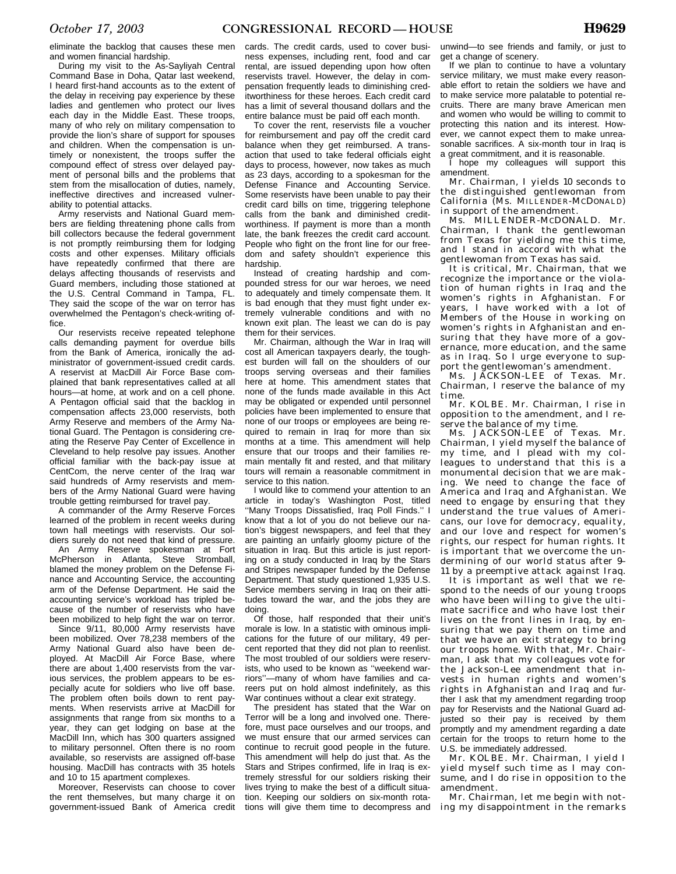eliminate the backlog that causes these men and women financial hardship.

During my visit to the As-Sayliyah Central Command Base in Doha, Qatar last weekend, I heard first-hand accounts as to the extent of the delay in receiving pay experience by these ladies and gentlemen who protect our lives each day in the Middle East. These troops, many of who rely on military compensation to provide the lion's share of support for spouses and children. When the compensation is untimely or nonexistent, the troops suffer the compound effect of stress over delayed payment of personal bills and the problems that stem from the misallocation of duties, namely, ineffective directives and increased vulnerability to potential attacks.

Army reservists and National Guard members are fielding threatening phone calls from bill collectors because the federal government is not promptly reimbursing them for lodging costs and other expenses. Military officials have repeatedly confirmed that there are delays affecting thousands of reservists and Guard members, including those stationed at the U.S. Central Command in Tampa, FL. They said the scope of the war on terror has overwhelmed the Pentagon's check-writing office.

Our reservists receive repeated telephone calls demanding payment for overdue bills from the Bank of America, ironically the administrator of government-issued credit cards. A reservist at MacDill Air Force Base complained that bank representatives called at all hours—at home, at work and on a cell phone. A Pentagon official said that the backlog in compensation affects 23,000 reservists, both Army Reserve and members of the Army National Guard. The Pentagon is considering creating the Reserve Pay Center of Excellence in Cleveland to help resolve pay issues. Another official familiar with the back-pay issue at CentCom, the nerve center of the Iraq war said hundreds of Army reservists and members of the Army National Guard were having trouble getting reimbursed for travel pay.

A commander of the Army Reserve Forces learned of the problem in recent weeks during town hall meetings with reservists. Our soldiers surely do not need that kind of pressure.

An Army Reserve spokesman at Fort McPherson in Atlanta, Steve Stromball, blamed the money problem on the Defense Finance and Accounting Service, the accounting arm of the Defense Department. He said the accounting service's workload has tripled because of the number of reservists who have been mobilized to help fight the war on terror.

Since 9/11, 80,000 Army reservists have been mobilized. Over 78,238 members of the Army National Guard also have been deployed. At MacDill Air Force Base, where there are about 1,400 reservists from the various services, the problem appears to be especially acute for soldiers who live off base. The problem often boils down to rent payments. When reservists arrive at MacDill for assignments that range from six months to a year, they can get lodging on base at the MacDill Inn, which has 300 quarters assigned to military personnel. Often there is no room available, so reservists are assigned off-base housing. MacDill has contracts with 35 hotels and 10 to 15 apartment complexes.

Moreover, Reservists can choose to cover the rent themselves, but many charge it on government-issued Bank of America credit

cards. The credit cards, used to cover business expenses, including rent, food and car rental, are issued depending upon how often reservists travel. However, the delay in compensation frequently leads to diminishing creditworthiness for these heroes. Each credit card has a limit of several thousand dollars and the entire balance must be paid off each month.

To cover the rent, reservists file a voucher for reimbursement and pay off the credit card balance when they get reimbursed. A transaction that used to take federal officials eight days to process, however, now takes as much as 23 days, according to a spokesman for the Defense Finance and Accounting Service. Some reservists have been unable to pay their credit card bills on time, triggering telephone calls from the bank and diminished creditworthiness. If payment is more than a month late, the bank freezes the credit card account. People who fight on the front line for our freedom and safety shouldn't experience this hardship.

Instead of creating hardship and compounded stress for our war heroes, we need to adequately and timely compensate them. It is bad enough that they must fight under extremely vulnerable conditions and with no known exit plan. The least we can do is pay them for their services.

Mr. Chairman, although the War in Iraq will cost all American taxpayers dearly, the toughest burden will fall on the shoulders of our troops serving overseas and their families here at home. This amendment states that none of the funds made available in this Act may be obligated or expended until personnel policies have been implemented to ensure that none of our troops or employees are being required to remain in Iraq for more than six months at a time. This amendment will help ensure that our troops and their families remain mentally fit and rested, and that military tours will remain a reasonable commitment in service to this nation.

I would like to commend your attention to an article in today's Washington Post, titled ''Many Troops Dissatisfied, Iraq Poll Finds.'' I know that a lot of you do not believe our nation's biggest newspapers, and feel that they are painting an unfairly gloomy picture of the situation in Iraq. But this article is just reporting on a study conducted in Iraq by the Stars and Stripes newspaper funded by the Defense Department. That study questioned 1,935 U.S. Service members serving in Iraq on their attitudes toward the war, and the jobs they are doing.

Of those, half responded that their unit's morale is low. In a statistic with ominous implications for the future of our military, 49 percent reported that they did not plan to reenlist. The most troubled of our soldiers were reservists, who used to be known as ''weekend warriors''—many of whom have families and careers put on hold almost indefinitely, as this War continues without a clear exit strategy.

The president has stated that the War on Terror will be a long and involved one. Therefore, must pace ourselves and our troops, and we must ensure that our armed services can continue to recruit good people in the future. This amendment will help do just that. As the Stars and Stripes confirmed, life in Iraq is extremely stressful for our soldiers risking their lives trying to make the best of a difficult situation. Keeping our soldiers on six-month rotations will give them time to decompress and

unwind—to see friends and family, or just to get a change of scenery.

If we plan to continue to have a voluntary service military, we must make every reasonable effort to retain the soldiers we have and to make service more palatable to potential recruits. There are many brave American men and women who would be willing to commit to protecting this nation and its interest. However, we cannot expect them to make unreasonable sacrifices. A six-month tour in Iraq is a great commitment, and it is reasonable.

I hope my colleagues will support this amendment.

Mr. Chairman, I yields 10 seconds to the distinguished gentlewoman from California (Ms. MILLENDER-MCDONALD) in support of the amendment.

Ms. MILLENDER-MCDONALD. Mr. Chairman, I thank the gentlewoman from Texas for yielding me this time, and I stand in accord with what the gentlewoman from Texas has said.

It is critical, Mr. Chairman, that we recognize the importance or the violation of human rights in Iraq and the women's rights in Afghanistan. For years, I have worked with a lot of Members of the House in working on women's rights in Afghanistan and ensuring that they have more of a governance, more education, and the same as in Iraq. So I urge everyone to support the gentlewoman's amendment.

Ms. JACKSON-LEE of Texas. Mr. Chairman, I reserve the balance of my time.

Mr. KOLBE. Mr. Chairman, I rise in opposition to the amendment, and I reserve the balance of my time.

Ms. JACKSON-LEE of Texas. Mr. Chairman, I yield myself the balance of my time, and I plead with my colleagues to understand that this is a monumental decision that we are making. We need to change the face of America and Iraq and Afghanistan. We need to engage by ensuring that they understand the true values of Americans, our love for democracy, equality, and our love and respect for women's rights, our respect for human rights. It is important that we overcome the undermining of our world status after 9– 11 by a preemptive attack against Iraq.

It is important as well that we respond to the needs of our young troops who have been willing to give the ultimate sacrifice and who have lost their lives on the front lines in Iraq, by ensuring that we pay them on time and that we have an exit strategy to bring our troops home. With that, Mr. Chairman, I ask that my colleagues vote for the Jackson-Lee amendment that invests in human rights and women's rights in Afghanistan and Iraq and further I ask that my amendment regarding troop pay for Reservists and the National Guard adjusted so their pay is received by them promptly and my amendment regarding a date certain for the troops to return home to the U.S. be immediately addressed.

Mr. KOLBE. Mr. Chairman, I yield I yield myself such time as I may consume, and I do rise in opposition to the amendment.

Mr. Chairman, let me begin with noting my disappointment in the remarks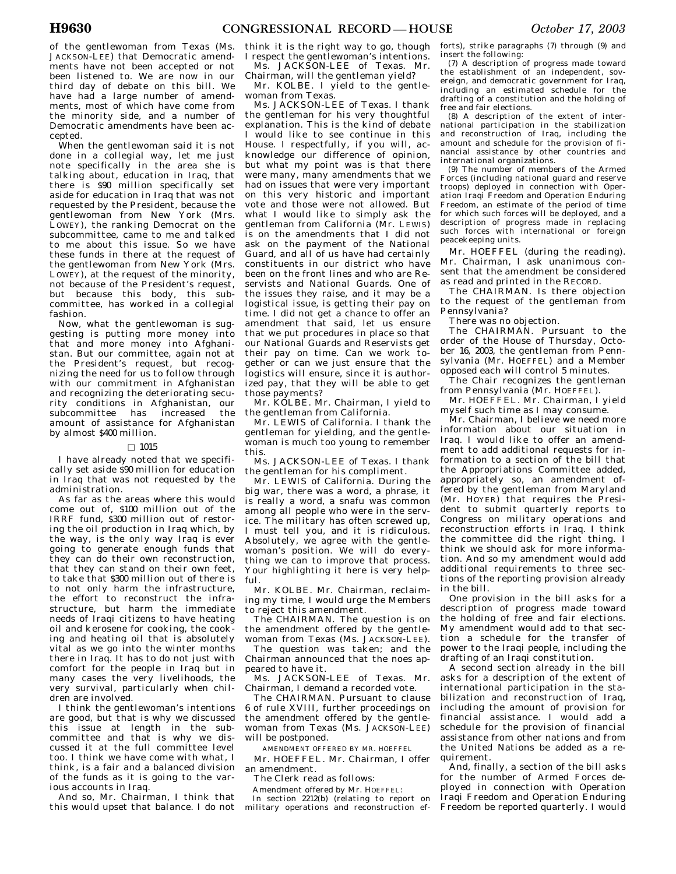of the gentlewoman from Texas (Ms. JACKSON-LEE) that Democratic amendments have not been accepted or not been listened to. We are now in our third day of debate on this bill. We have had a large number of amendments, most of which have come from the minority side, and a number of Democratic amendments have been accepted.

When the gentlewoman said it is not done in a collegial way, let me just note specifically in the area she is talking about, education in Iraq, that there is \$90 million specifically set aside for education in Iraq that was not requested by the President, because the gentlewoman from New York (Mrs. LOWEY), the ranking Democrat on the subcommittee, came to me and talked to me about this issue. So we have these funds in there at the request of the gentlewoman from New York (Mrs. LOWEY), at the request of the minority, not because of the President's request, but because this body, this subcommittee, has worked in a collegial fashion.

Now, what the gentlewoman is suggesting is putting more money into that and more money into Afghanistan. But our committee, again not at the President's request, but recognizing the need for us to follow through with our commitment in Afghanistan and recognizing the deteriorating security conditions in Afghanistan, our subcommittee has increased the amount of assistance for Afghanistan by almost \$400 million.

### $\square$  1015

I have already noted that we specifically set aside \$90 million for education in Iraq that was not requested by the administration.

As far as the areas where this would come out of, \$100 million out of the IRRF fund, \$300 million out of restoring the oil production in Iraq which, by the way, is the only way Iraq is ever going to generate enough funds that they can do their own reconstruction, that they can stand on their own feet, to take that \$300 million out of there is to not only harm the infrastructure, the effort to reconstruct the infrastructure, but harm the immediate needs of Iraqi citizens to have heating oil and kerosene for cooking, the cooking and heating oil that is absolutely vital as we go into the winter months there in Iraq. It has to do not just with comfort for the people in Iraq but in many cases the very livelihoods, the very survival, particularly when children are involved.

I think the gentlewoman's intentions are good, but that is why we discussed this issue at length in the subcommittee and that is why we discussed it at the full committee level too. I think we have come with what, I think, is a fair and a balanced division of the funds as it is going to the various accounts in Iraq.

And so, Mr. Chairman, I think that this would upset that balance. I do not

think it is the right way to go, though I respect the gentlewoman's intentions.

Ms. JACKSON-LEE of Texas. Mr. Chairman, will the gentleman yield?

Mr. KOLBE. I yield to the gentlewoman from Texas.

Ms. JACKSON-LEE of Texas. I thank the gentleman for his very thoughtful explanation. This is the kind of debate I would like to see continue in this House. I respectfully, if you will, acknowledge our difference of opinion, but what my point was is that there were many, many amendments that we had on issues that were very important on this very historic and important vote and those were not allowed. But what I would like to simply ask the gentleman from California (Mr. LEWIS) is on the amendments that I did not ask on the payment of the National Guard, and all of us have had certainly constituents in our district who have been on the front lines and who are Reservists and National Guards. One of the issues they raise, and it may be a logistical issue, is getting their pay on time. I did not get a chance to offer an amendment that said, let us ensure that we put procedures in place so that our National Guards and Reservists get their pay on time. Can we work together or can we just ensure that the logistics will ensure, since it is authorized pay, that they will be able to get those payments?

Mr. KOLBE. Mr. Chairman, I yield to the gentleman from California.

Mr. LEWIS of California. I thank the gentleman for yielding, and the gentlewoman is much too young to remember this.

Ms. JACKSON-LEE of Texas. I thank the gentleman for his compliment.

Mr. LEWIS of California. During the big war, there was a word, a phrase, it is really a word, a snafu was common among all people who were in the service. The military has often screwed up, I must tell you, and it is ridiculous. Absolutely, we agree with the gentlewoman's position. We will do everything we can to improve that process. Your highlighting it here is very helpful.

Mr. KOLBE. Mr. Chairman, reclaiming my time, I would urge the Members to reject this amendment.

The CHAIRMAN. The question is on the amendment offered by the gentlewoman from Texas (Ms. JACKSON-LEE).

The question was taken; and the Chairman announced that the noes appeared to have it.

Ms. JACKSON-LEE of Texas. Mr. Chairman, I demand a recorded vote.

The CHAIRMAN. Pursuant to clause 6 of rule XVIII, further proceedings on the amendment offered by the gentlewoman from Texas (Ms. JACKSON-LEE) will be postponed.

AMENDMENT OFFERED BY MR. HOEFFEL

Mr. HOEFFEL. Mr. Chairman, I offer an amendment.

The Clerk read as follows:

Amendment offered by Mr. HOEFFEL: In section 2212(b) (relating to report on military operations and reconstruction efforts), strike paragraphs (7) through (9) and insert the following:

(7) A description of progress made toward the establishment of an independent, sovereign, and democratic government for Iraq, including an estimated schedule for the drafting of a constitution and the holding of free and fair elections.

(8) A description of the extent of international participation in the stabilization and reconstruction of Iraq, including the amount and schedule for the provision of financial assistance by other countries and international organizations.

(9) The number of members of the Armed Forces (including national guard and reserve troops) deployed in connection with Operation Iraqi Freedom and Operation Enduring Freedom, an estimate of the period of time for which such forces will be deployed, and a description of progress made in replacing such forces with international or foreign peacekeeping units.

Mr. HOEFFEL (during the reading). Mr. Chairman, I ask unanimous consent that the amendment be considered as read and printed in the RECORD.

The CHAIRMAN. Is there objection to the request of the gentleman from Pennsylvania?

There was no objection.

The CHAIRMAN. Pursuant to the order of the House of Thursday, October 16, 2003, the gentleman from Pennsylvania (Mr. HOEFFEL) and a Member opposed each will control 5 minutes.

The Chair recognizes the gentleman from Pennsylvania (Mr. HOEFFEL).

Mr. HOEFFEL. Mr. Chairman, I yield myself such time as I may consume.

Mr. Chairman, I believe we need more information about our situation in Iraq. I would like to offer an amendment to add additional requests for information to a section of the bill that the Appropriations Committee added, appropriately so, an amendment offered by the gentleman from Maryland (Mr. HOYER) that requires the President to submit quarterly reports to Congress on military operations and reconstruction efforts in Iraq. I think the committee did the right thing. I think we should ask for more information. And so my amendment would add additional requirements to three sections of the reporting provision already in the bill.

One provision in the bill asks for a description of progress made toward the holding of free and fair elections. My amendment would add to that section a schedule for the transfer of power to the Iraqi people, including the drafting of an Iraqi constitution.

A second section already in the bill asks for a description of the extent of international participation in the stabilization and reconstruction of Iraq, including the amount of provision for financial assistance. I would add a schedule for the provision of financial assistance from other nations and from the United Nations be added as a requirement.

And, finally, a section of the bill asks for the number of Armed Forces deployed in connection with Operation Iraqi Freedom and Operation Enduring Freedom be reported quarterly. I would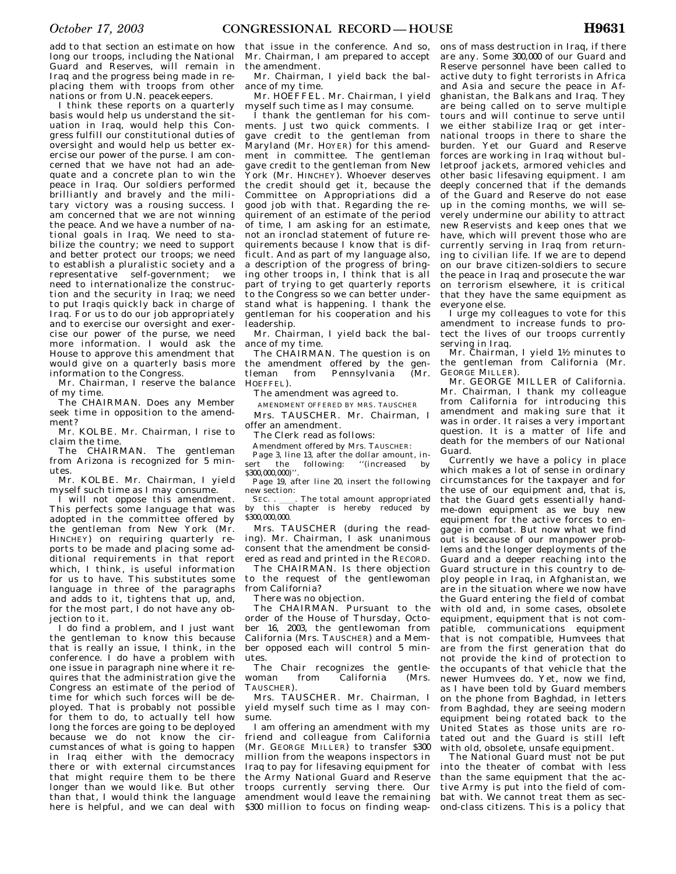add to that section an estimate on how long our troops, including the National Guard and Reserves, will remain in Iraq and the progress being made in replacing them with troops from other nations or from U.N. peacekeepers.

I think these reports on a quarterly basis would help us understand the situation in Iraq, would help this Congress fulfill our constitutional duties of oversight and would help us better exercise our power of the purse. I am concerned that we have not had an adequate and a concrete plan to win the peace in Iraq. Our soldiers performed brilliantly and bravely and the military victory was a rousing success. I am concerned that we are not winning the peace. And we have a number of national goals in Iraq. We need to stabilize the country; we need to support and better protect our troops; we need to establish a pluralistic society and a representative self-government; we need to internationalize the construction and the security in Iraq; we need to put Iraqis quickly back in charge of Iraq. For us to do our job appropriately and to exercise our oversight and exercise our power of the purse, we need more information. I would ask the House to approve this amendment that would give on a quarterly basis more information to the Congress.

Mr. Chairman, I reserve the balance of my time.

The CHAIRMAN. Does any Member seek time in opposition to the amendment?

Mr. KOLBE. Mr. Chairman, I rise to claim the time.

The CHAIRMAN. The gentleman from Arizona is recognized for 5 minutes.

Mr. KOLBE. Mr. Chairman, I yield myself such time as I may consume.

I will not oppose this amendment. This perfects some language that was adopted in the committee offered by the gentleman from New York (Mr. HINCHEY) on requiring quarterly reports to be made and placing some additional requirements in that report which, I think, is useful information for us to have. This substitutes some language in three of the paragraphs and adds to it, tightens that up, and, for the most part,  $\overline{I}$  do not have any objection to it.

I do find a problem, and I just want the gentleman to know this because that is really an issue, I think, in the conference. I do have a problem with one issue in paragraph nine where it requires that the administration give the Congress an estimate of the period of time for which such forces will be deployed. That is probably not possible for them to do, to actually tell how long the forces are going to be deployed because we do not know the circumstances of what is going to happen in Iraq either with the democracy there or with external circumstances that might require them to be there longer than we would like. But other than that, I would think the language here is helpful, and we can deal with

that issue in the conference. And so, Mr. Chairman, I am prepared to accept the amendment.

Mr. Chairman, I yield back the balance of my time.

Mr. HOEFFEL. Mr. Chairman, I yield myself such time as I may consume.

I thank the gentleman for his comments. Just two quick comments. I gave credit to the gentleman from Maryland (Mr. HOYER) for this amendment in committee. The gentleman gave credit to the gentleman from New York (Mr. HINCHEY). Whoever deserves the credit should get it, because the Committee on Appropriations did a good job with that. Regarding the requirement of an estimate of the period of time, I am asking for an estimate, not an ironclad statement of future requirements because I know that is difficult. And as part of my language also, a description of the progress of bringing other troops in, I think that is all part of trying to get quarterly reports to the Congress so we can better understand what is happening. I thank the gentleman for his cooperation and his leadership.

Mr. Chairman, I yield back the balance of my time.

The CHAIRMAN. The question is on the amendment offered by the gen-<br>tleman from Pennsylvania (Mr. Pennsylvania HOFFFFI<sup>)</sup>

The amendment was agreed to.

AMENDMENT OFFERED BY MRS. TAUSCHER

Mrs. TAUSCHER. Mr. Chairman, I offer an amendment.

The Clerk read as follows:

Amendment offered by Mrs. TAUSCHER: Page 3, line 13, after the dollar amount, insert the following: "(increased by \$300,000,000)

Page 19, after line 20, insert the following new section:

SEC. . \_\_\_\_. The total amount appropriated<br>by this chapter is hereby reduced by \$300,000,000

Mrs. TAUSCHER (during the reading). Mr. Chairman, I ask unanimous consent that the amendment be considered as read and printed in the RECORD.

The CHAIRMAN. Is there objection to the request of the gentlewoman from California?

There was no objection.

The CHAIRMAN. Pursuant to the order of the House of Thursday, October 16, 2003, the gentlewoman from California (Mrs. TAUSCHER) and a Member opposed each will control 5 minutes.

The Chair recognizes the gentlewoman from California (Mrs. TAUSCHER).

Mrs. TAUSCHER. Mr. Chairman, I yield myself such time as I may consume.

I am offering an amendment with my friend and colleague from California (Mr. GEORGE MILLER) to transfer \$300 million from the weapons inspectors in Iraq to pay for lifesaving equipment for the Army National Guard and Reserve troops currently serving there. Our amendment would leave the remaining \$300 million to focus on finding weap-

ons of mass destruction in Iraq, if there are any. Some 300,000 of our Guard and Reserve personnel have been called to active duty to fight terrorists in Africa and Asia and secure the peace in Afghanistan, the Balkans and Iraq. They are being called on to serve multiple tours and will continue to serve until we either stabilize Iraq or get international troops in there to share the burden. Yet our Guard and Reserve forces are working in Iraq without bulletproof jackets, armored vehicles and other basic lifesaving equipment. I am deeply concerned that if the demands of the Guard and Reserve do not ease up in the coming months, we will severely undermine our ability to attract new Reservists and keep ones that we have, which will prevent those who are currently serving in Iraq from returning to civilian life. If we are to depend on our brave citizen-soldiers to secure the peace in Iraq and prosecute the war on terrorism elsewhere, it is critical that they have the same equipment as everyone else.

I urge my colleagues to vote for this amendment to increase funds to protect the lives of our troops currently serving in Iraq.

Mr. Chairman, I yield  $1\frac{1}{2}$  minutes to the gentleman from California (Mr. GEORGE MILLER).

Mr. GEORGE MILLER of California. Mr. Chairman, I thank my colleague from California for introducing this amendment and making sure that it was in order. It raises a very important question. It is a matter of life and death for the members of our National Guard.

Currently we have a policy in place which makes a lot of sense in ordinary circumstances for the taxpayer and for the use of our equipment and, that is, that the Guard gets essentially handme-down equipment as we buy new equipment for the active forces to engage in combat. But now what we find out is because of our manpower problems and the longer deployments of the Guard and a deeper reaching into the Guard structure in this country to deploy people in Iraq, in Afghanistan, we are in the situation where we now have the Guard entering the field of combat with old and, in some cases, obsolete equipment, equipment that is not compatible, communications equipment that is not compatible, Humvees that are from the first generation that do not provide the kind of protection to the occupants of that vehicle that the newer Humvees do. Yet, now we find, as I have been told by Guard members on the phone from Baghdad, in letters from Baghdad, they are seeing modern equipment being rotated back to the United States as those units are rotated out and the Guard is still left with old, obsolete, unsafe equipment.

The National Guard must not be put into the theater of combat with less than the same equipment that the active Army is put into the field of combat with. We cannot treat them as second-class citizens. This is a policy that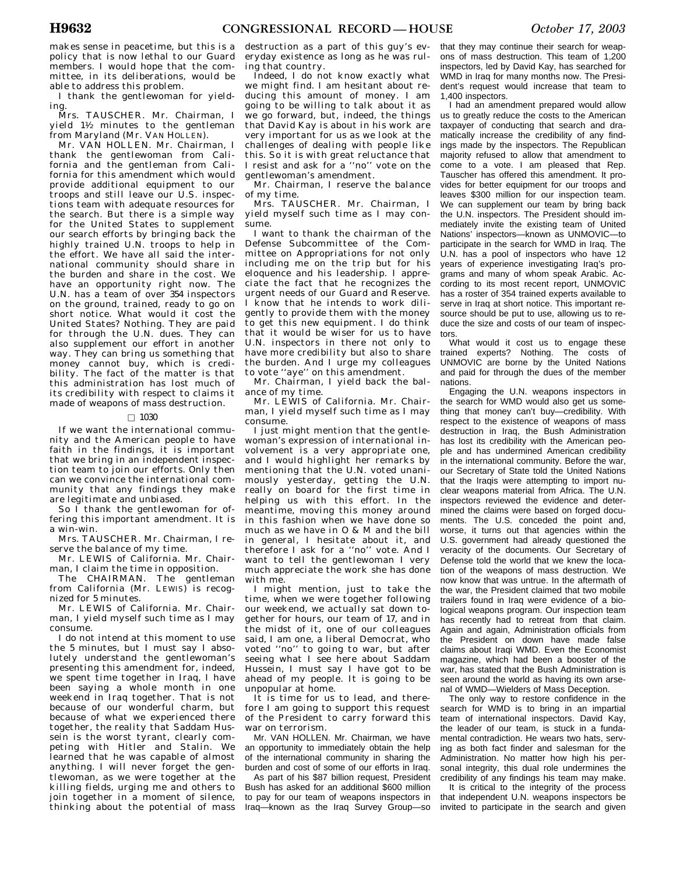makes sense in peacetime, but this is a policy that is now lethal to our Guard members. I would hope that the committee, in its deliberations, would be able to address this problem.

I thank the gentlewoman for yielding.

Mrs. TAUSCHER. Mr. Chairman, I  $yield$   $1\frac{1}{2}$  minutes to the gentleman from Maryland (Mr. VAN HOLLEN).

Mr. VAN HOLLEN. Mr. Chairman, I thank the gentlewoman from California and the gentleman from California for this amendment which would provide additional equipment to our troops and still leave our U.S. inspections team with adequate resources for the search. But there is a simple way for the United States to supplement our search efforts by bringing back the highly trained U.N. troops to help in the effort. We have all said the international community should share in the burden and share in the cost. We have an opportunity right now. The U.N. has a team of over 354 inspectors on the ground, trained, ready to go on short notice. What would it cost the United States? Nothing. They are paid for through the U.N. dues. They can also supplement our effort in another way. They can bring us something that money cannot buy, which is credibility. The fact of the matter is that this administration has lost much of its credibility with respect to claims it made of weapons of mass destruction.

## $\Box$  1030

If we want the international community and the American people to have faith in the findings, it is important that we bring in an independent inspection team to join our efforts. Only then can we convince the international community that any findings they make are legitimate and unbiased.

So  $\tilde{I}$  thank the gentlewoman for offering this important amendment. It is a win-win.

Mrs. TAUSCHER. Mr. Chairman, I reserve the balance of my time.

Mr. LEWIS of California. Mr. Chairman, I claim the time in opposition.

The CHAIRMAN. The gentleman from California (Mr. LEWIS) is recognized for 5 minutes.

Mr. LEWIS of California. Mr. Chairman, I yield myself such time as I may consume.

I do not intend at this moment to use the 5 minutes, but I must say I absolutely understand the gentlewoman's presenting this amendment for, indeed, we spent time together in Iraq, I have been saying a whole month in one weekend in Iraq together. That is not because of our wonderful charm, but because of what we experienced there together, the reality that Saddam Hussein is the worst tyrant, clearly competing with Hitler and Stalin. We learned that he was capable of almost anything. I will never forget the gentlewoman, as we were together at the killing fields, urging me and others to join together in a moment of silence, thinking about the potential of mass

destruction as a part of this guy's everyday existence as long as he was ruling that country.

Indeed, I do not know exactly what we might find. I am hesitant about reducing this amount of money. I am going to be willing to talk about it as we go forward, but, indeed, the things that David Kay is about in his work are very important for us as we look at the challenges of dealing with people like this. So it is with great reluctance that I resist and ask for a ''no'' vote on the gentlewoman's amendment.

Mr. Chairman, I reserve the balance of my time.

Mrs. TAUSCHER. Mr. Chairman, I yield myself such time as I may consume.

I want to thank the chairman of the Defense Subcommittee of the Committee on Appropriations for not only including me on the trip but for his eloquence and his leadership. I appreciate the fact that he recognizes the urgent needs of our Guard and Reserve. I know that he intends to work diligently to provide them with the money to get this new equipment. I do think that it would be wiser for us to have U.N. inspectors in there not only to have more credibility but also to share the burden. And I urge my colleagues to vote ''aye'' on this amendment.

Mr. Chairman, I yield back the balance of my time.

Mr. LEWIS of California. Mr. Chairman, I yield myself such time as I may consume.

I just might mention that the gentlewoman's expression of international involvement is a very appropriate one, and I would highlight her remarks by mentioning that the U.N. voted unanimously yesterday, getting the U.N. really on board for the first time in helping us with this effort. In the meantime, moving this money around in this fashion when we have done so much as we have in O & M and the bill in general, I hesitate about it, and therefore I ask for a ''no'' vote. And I want to tell the gentlewoman I very much appreciate the work she has done with me.

I might mention, just to take the time, when we were together following our weekend, we actually sat down together for hours, our team of 17, and in the midst of it, one of our colleagues said, I am one, a liberal Democrat, who voted ''no'' to going to war, but after seeing what I see here about Saddam Hussein, I must say I have got to be ahead of my people. It is going to be unpopular at home.

It is time for us to lead, and therefore I am going to support this request of the President to carry forward this war on terrorism.

Mr. VAN HOLLEN. Mr. Chairman, we have an opportunity to immediately obtain the help of the international community in sharing the burden and cost of some of our efforts in Iraq.

As part of his \$87 billion request, President Bush has asked for an additional \$600 million to pay for our team of weapons inspectors in Iraq—known as the Iraq Survey Group—so

that they may continue their search for weapons of mass destruction. This team of 1,200 inspectors, led by David Kay, has searched for WMD in Iraq for many months now. The President's request would increase that team to 1,400 inspectors.

I had an amendment prepared would allow us to greatly reduce the costs to the American taxpayer of conducting that search and dramatically increase the credibility of any findings made by the inspectors. The Republican majority refused to allow that amendment to come to a vote. I am pleased that Rep. Tauscher has offered this amendment. It provides for better equipment for our troops and leaves \$300 million for our inspection team. We can supplement our team by bring back the U.N. inspectors. The President should immediately invite the existing team of United Nations' inspectors—known as UNMOVIC—to participate in the search for WMD in Iraq. The U.N. has a pool of inspectors who have 12 years of experience investigating Iraq's programs and many of whom speak Arabic. According to its most recent report, UNMOVIC has a roster of 354 trained experts available to serve in Iraq at short notice. This important resource should be put to use, allowing us to reduce the size and costs of our team of inspectors.

What would it cost us to engage these trained experts? Nothing. The costs of UNMOVIC are borne by the United Nations and paid for through the dues of the member nations.

Engaging the U.N. weapons inspectors in the search for WMD would also get us something that money can't buy—credibility. With respect to the existence of weapons of mass destruction in Iraq, the Bush Administration has lost its credibility with the American people and has undermined American credibility in the international community. Before the war, our Secretary of State told the United Nations that the Iraqis were attempting to import nuclear weapons material from Africa. The U.N. inspectors reviewed the evidence and determined the claims were based on forged documents. The U.S. conceded the point and, worse, it turns out that agencies within the U.S. government had already questioned the veracity of the documents. Our Secretary of Defense told the world that we knew the location of the weapons of mass destruction. We now know that was untrue. In the aftermath of the war, the President claimed that two mobile trailers found in Iraq were evidence of a biological weapons program. Our inspection team has recently had to retreat from that claim. Again and again, Administration officials from the President on down have made false claims about Iraqi WMD. Even the Economist magazine, which had been a booster of the war, has stated that the Bush Administration is seen around the world as having its own arsenal of WMD—Wielders of Mass Deception.

The only way to restore confidence in the search for WMD is to bring in an impartial team of international inspectors. David Kay, the leader of our team, is stuck in a fundamental contradiction. He wears two hats, serving as both fact finder and salesman for the Administration. No matter how high his personal integrity, this dual role undermines the credibility of any findings his team may make.

It is critical to the integrity of the process that independent U.N. weapons inspectors be invited to participate in the search and given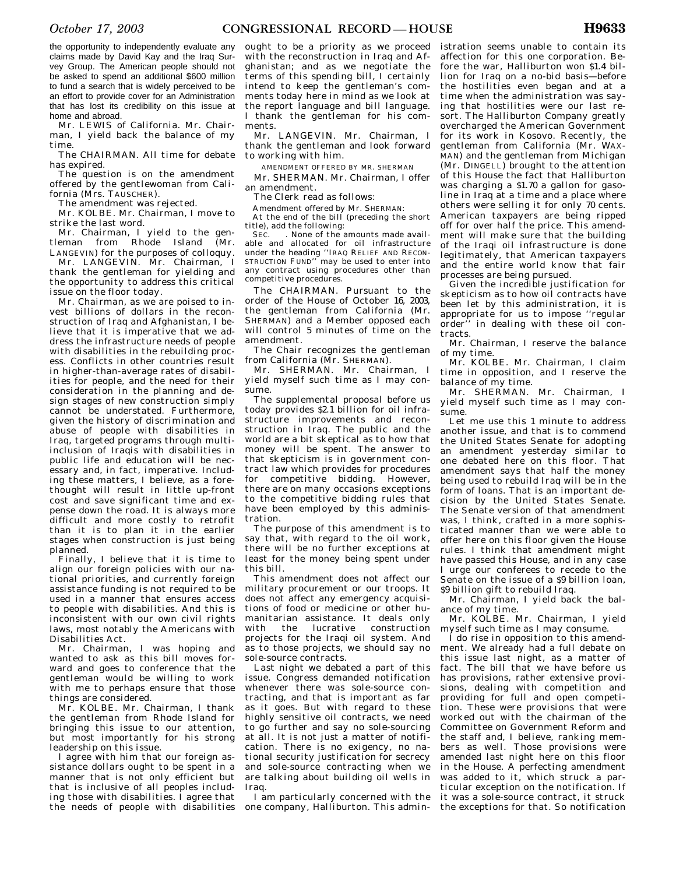the opportunity to independently evaluate any claims made by David Kay and the Iraq Survey Group. The American people should not be asked to spend an additional \$600 million to fund a search that is widely perceived to be an effort to provide cover for an Administration that has lost its credibility on this issue at home and abroad.

Mr. LEWIS of California. Mr. Chairman, I yield back the balance of my time.

The CHAIRMAN. All time for debate has expired.

The question is on the amendment offered by the gentlewoman from California (Mrs. TAUSCHER).

The amendment was rejected.

Mr. KOLBE. Mr. Chairman, I move to strike the last word.

Mr. Chairman, I yield to the gentleman from Rhode Island (Mr. LANGEVIN) for the purposes of colloquy.

Mr. LANGEVIN. Mr. Chairman, I thank the gentleman for yielding and the opportunity to address this critical issue on the floor today.

Mr. Chairman, as we are poised to invest billions of dollars in the reconstruction of Iraq and Afghanistan, I believe that it is imperative that we address the infrastructure needs of people with disabilities in the rebuilding process. Conflicts in other countries result in higher-than-average rates of disabilities for people, and the need for their consideration in the planning and design stages of new construction simply cannot be understated. Furthermore, given the history of discrimination and abuse of people with disabilities in Iraq, targeted programs through multiinclusion of Iraqis with disabilities in public life and education will be necessary and, in fact, imperative. Including these matters, I believe, as a forethought will result in little up-front cost and save significant time and expense down the road. It is always more difficult and more costly to retrofit than it is to plan it in the earlier stages when construction is just being planned.

Finally, I believe that it is time to align our foreign policies with our national priorities, and currently foreign assistance funding is not required to be used in a manner that ensures access to people with disabilities. And this is inconsistent with our own civil rights laws, most notably the Americans with Disabilities Act.

Mr. Chairman, I was hoping and wanted to ask as this bill moves forward and goes to conference that the gentleman would be willing to work with me to perhaps ensure that those things are considered.

Mr. KOLBE. Mr. Chairman, I thank the gentleman from Rhode Island for bringing this issue to our attention, but most importantly for his strong leadership on this issue.

I agree with him that our foreign assistance dollars ought to be spent in a manner that is not only efficient but that is inclusive of all peoples including those with disabilities. I agree that the needs of people with disabilities

ought to be a priority as we proceed with the reconstruction in Iraq and Afghanistan; and as we negotiate the terms of this spending bill, I certainly intend to keep the gentleman's comments today here in mind as we look at the report language and bill language. I thank the gentleman for his comments.

Mr. LANGEVIN. Mr. Chairman, I thank the gentleman and look forward to working with him.

AMENDMENT OFFERED BY MR. SHERMAN

Mr. SHERMAN. Mr. Chairman, I offer an amendment.

The Clerk read as follows:

Amendment offered by Mr. SHERMAN:

At the end of the bill (preceding the short title), add the following:

SEC. . None of the amounts made available and allocated for oil infrastructure under the heading ''IRAQ RELIEF AND RECON-STRUCTION FUND'' may be used to enter into any contract using procedures other than competitive procedures.

The CHAIRMAN. Pursuant to the order of the House of October 16, 2003, the gentleman from California (Mr. SHERMAN) and a Member opposed each will control 5 minutes of time on the amendment.

The Chair recognizes the gentleman from California (Mr. SHERMAN).

Mr. SHERMAN. Mr. Chairman, I yield myself such time as I may consume.

The supplemental proposal before us today provides \$2.1 billion for oil infrastructure improvements and reconstruction in Iraq. The public and the world are a bit skeptical as to how that money will be spent. The answer to that skepticism is in government contract law which provides for procedures for competitive bidding. However, there are on many occasions exceptions to the competitive bidding rules that have been employed by this administration.

The purpose of this amendment is to say that, with regard to the oil work, there will be no further exceptions at least for the money being spent under this bill.

This amendment does not affect our military procurement or our troops. It does not affect any emergency acquisitions of food or medicine or other humanitarian assistance. It deals only with the lucrative construction projects for the Iraqi oil system. And as to those projects, we should say no sole-source contracts.

Last night we debated a part of this issue. Congress demanded notification whenever there was sole-source contracting, and that is important as far as it goes. But with regard to these highly sensitive oil contracts, we need to go further and say no sole-sourcing at all. It is not just a matter of notification. There is no exigency, no national security justification for secrecy and sole-source contracting when we are talking about building oil wells in Iraq.

I am particularly concerned with the one company, Halliburton. This administration seems unable to contain its affection for this one corporation. Before the war, Halliburton won \$1.4 billion for Iraq on a no-bid basis—before the hostilities even began and at a time when the administration was saying that hostilities were our last resort. The Halliburton Company greatly overcharged the American Government for its work in Kosovo. Recently, the gentleman from California (Mr. WAX-MAN) and the gentleman from Michigan (Mr. DINGELL) brought to the attention of this House the fact that Halliburton was charging a \$1.70 a gallon for gasoline in Iraq at a time and a place where others were selling it for only 70 cents. American taxpayers are being ripped off for over half the price. This amendment will make sure that the building of the Iraqi oil infrastructure is done legitimately, that American taxpayers and the entire world know that fair processes are being pursued.

Given the incredible justification for skepticism as to how oil contracts have been let by this administration, it is appropriate for us to impose ''regular order" in dealing with these oil contracts.

Mr. Chairman, I reserve the balance of my time.

Mr. KOLBE. Mr. Chairman, I claim time in opposition, and I reserve the balance of my time.

Mr. SHERMAN. Mr. Chairman. I yield myself such time as I may consume.

Let me use this 1 minute to address another issue, and that is to commend the United States Senate for adopting an amendment yesterday similar to one debated here on this floor. That amendment says that half the money being used to rebuild Iraq will be in the form of loans. That is an important decision by the United States Senate. The Senate version of that amendment was, I think, crafted in a more sophisticated manner than we were able to offer here on this floor given the House rules. I think that amendment might have passed this House, and in any case I urge our conferees to recede to the Senate on the issue of a \$9 billion loan, \$9 billion gift to rebuild Iraq.

Mr. Chairman, I yield back the balance of my time.

Mr. KOLBE. Mr. Chairman, I yield myself such time as I may consume.

I do rise in opposition to this amendment. We already had a full debate on this issue last night, as a matter of fact. The bill that we have before us has provisions, rather extensive provisions, dealing with competition and providing for full and open competition. These were provisions that were worked out with the chairman of the Committee on Government Reform and the staff and, I believe, ranking members as well. Those provisions were amended last night here on this floor in the House. A perfecting amendment was added to it, which struck a particular exception on the notification. If it was a sole-source contract, it struck the exceptions for that. So notification